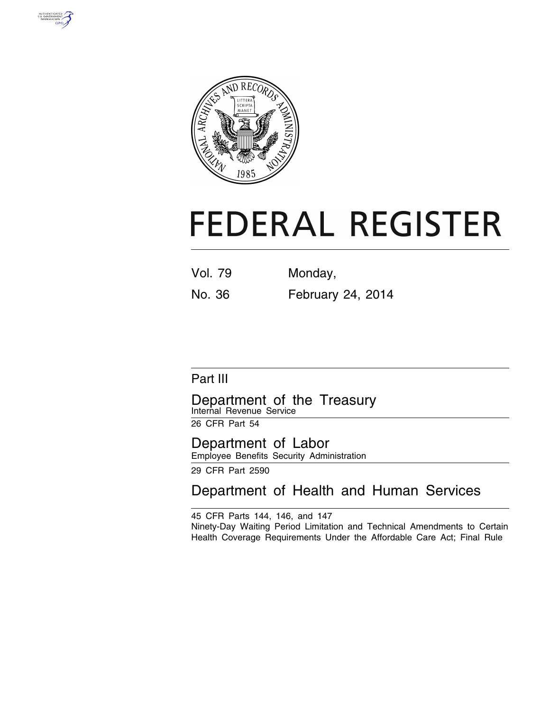



# **FEDERAL REGISTER**

Vol. 79 Monday,

No. 36 February 24, 2014

# Part III

Department of the Treasury Internal Revenue Service

26 CFR Part 54

Department of Labor Employee Benefits Security Administration

29 CFR Part 2590

Department of Health and Human Services

45 CFR Parts 144, 146, and 147 Ninety-Day Waiting Period Limitation and Technical Amendments to Certain Health Coverage Requirements Under the Affordable Care Act; Final Rule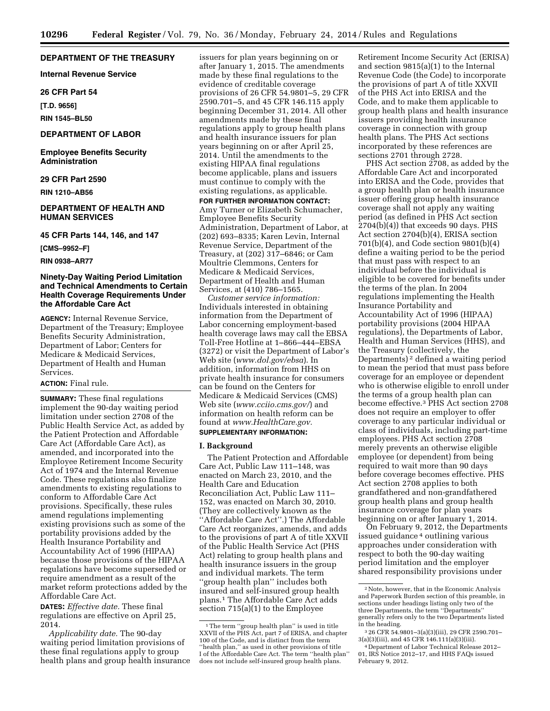#### **DEPARTMENT OF THE TREASURY**

**Internal Revenue Service** 

#### **26 CFR Part 54**

**[T.D. 9656]** 

**RIN 1545–BL50** 

#### **DEPARTMENT OF LABOR**

**Employee Benefits Security Administration** 

#### **29 CFR Part 2590**

**RIN 1210–AB56** 

#### **DEPARTMENT OF HEALTH AND HUMAN SERVICES**

#### **45 CFR Parts 144, 146, and 147**

**[CMS–9952–F]** 

**RIN 0938–AR77** 

#### **Ninety-Day Waiting Period Limitation and Technical Amendments to Certain Health Coverage Requirements Under the Affordable Care Act**

**AGENCY:** Internal Revenue Service, Department of the Treasury; Employee Benefits Security Administration, Department of Labor; Centers for Medicare & Medicaid Services, Department of Health and Human Services.

#### **ACTION:** Final rule.

**SUMMARY:** These final regulations implement the 90-day waiting period limitation under section 2708 of the Public Health Service Act, as added by the Patient Protection and Affordable Care Act (Affordable Care Act), as amended, and incorporated into the Employee Retirement Income Security Act of 1974 and the Internal Revenue Code. These regulations also finalize amendments to existing regulations to conform to Affordable Care Act provisions. Specifically, these rules amend regulations implementing existing provisions such as some of the portability provisions added by the Health Insurance Portability and Accountability Act of 1996 (HIPAA) because those provisions of the HIPAA regulations have become superseded or require amendment as a result of the market reform protections added by the Affordable Care Act.

**DATES:** *Effective date.* These final regulations are effective on April 25, 2014.

*Applicability date.* The 90-day waiting period limitation provisions of these final regulations apply to group health plans and group health insurance issuers for plan years beginning on or after January 1, 2015. The amendments made by these final regulations to the evidence of creditable coverage provisions of 26 CFR 54.9801–5, 29 CFR 2590.701–5, and 45 CFR 146.115 apply beginning December 31, 2014. All other amendments made by these final regulations apply to group health plans and health insurance issuers for plan years beginning on or after April 25, 2014. Until the amendments to the existing HIPAA final regulations become applicable, plans and issuers must continue to comply with the existing regulations, as applicable.

**FOR FURTHER INFORMATION CONTACT:**  Amy Turner or Elizabeth Schumacher, Employee Benefits Security Administration, Department of Labor, at (202) 693–8335; Karen Levin, Internal Revenue Service, Department of the Treasury, at (202) 317–6846; or Cam Moultrie Clemmons, Centers for Medicare & Medicaid Services, Department of Health and Human Services, at (410) 786–1565.

*Customer service information:*  Individuals interested in obtaining information from the Department of Labor concerning employment-based health coverage laws may call the EBSA Toll-Free Hotline at 1–866–444–EBSA (3272) or visit the Department of Labor's Web site (*[www.dol.gov/ebsa](http://www.dol.gov/ebsa)*). In addition, information from HHS on private health insurance for consumers can be found on the Centers for Medicare & Medicaid Services (CMS) Web site (*[www.cciio.cms.gov/](http://www.cciio.cms.gov/)*) and information on health reform can be found at *[www.HealthCare.gov.](http://www.HealthCare.gov)*  **SUPPLEMENTARY INFORMATION:** 

#### **I. Background**

The Patient Protection and Affordable Care Act, Public Law 111–148, was enacted on March 23, 2010, and the Health Care and Education Reconciliation Act, Public Law 111– 152, was enacted on March 30, 2010. (They are collectively known as the ''Affordable Care Act''.) The Affordable Care Act reorganizes, amends, and adds to the provisions of part A of title XXVII of the Public Health Service Act (PHS Act) relating to group health plans and health insurance issuers in the group and individual markets. The term ''group health plan'' includes both insured and self-insured group health plans.1 The Affordable Care Act adds section 715(a)(1) to the Employee

Retirement Income Security Act (ERISA) and section 9815(a)(1) to the Internal Revenue Code (the Code) to incorporate the provisions of part A of title XXVII of the PHS Act into ERISA and the Code, and to make them applicable to group health plans and health insurance issuers providing health insurance coverage in connection with group health plans. The PHS Act sections incorporated by these references are sections 2701 through 2728.

PHS Act section 2708, as added by the Affordable Care Act and incorporated into ERISA and the Code, provides that a group health plan or health insurance issuer offering group health insurance coverage shall not apply any waiting period (as defined in PHS Act section 2704(b)(4)) that exceeds 90 days. PHS Act section 2704(b)(4), ERISA section 701(b)(4), and Code section 9801(b)(4) define a waiting period to be the period that must pass with respect to an individual before the individual is eligible to be covered for benefits under the terms of the plan. In 2004 regulations implementing the Health Insurance Portability and Accountability Act of 1996 (HIPAA) portability provisions (2004 HIPAA regulations), the Departments of Labor, Health and Human Services (HHS), and the Treasury (collectively, the Departments) 2 defined a waiting period to mean the period that must pass before coverage for an employee or dependent who is otherwise eligible to enroll under the terms of a group health plan can become effective.3 PHS Act section 2708 does not require an employer to offer coverage to any particular individual or class of individuals, including part-time employees. PHS Act section 2708 merely prevents an otherwise eligible employee (or dependent) from being required to wait more than 90 days before coverage becomes effective. PHS Act section 2708 applies to both grandfathered and non-grandfathered group health plans and group health insurance coverage for plan years beginning on or after January 1, 2014.

On February 9, 2012, the Departments issued guidance 4 outlining various approaches under consideration with respect to both the 90-day waiting period limitation and the employer shared responsibility provisions under

<sup>&</sup>lt;sup>1</sup>The term "group health plan" is used in title XXVII of the PHS Act, part 7 of ERISA, and chapter 100 of the Code, and is distinct from the term ''health plan,'' as used in other provisions of title I of the Affordable Care Act. The term ''health plan'' does not include self-insured group health plans.

<sup>2</sup>Note, however, that in the Economic Analysis and Paperwork Burden section of this preamble, in sections under headings listing only two of the three Departments, the term ''Departments'' generally refers only to the two Departments listed

in the heading.<br><sup>3</sup> 26 CFR 54.9801–3(a)(3)(iii), 29 CFR 2590.701–<br>3(a)(3)(iii), and 45 CFR 146.111(a)(3)(iii).

<sup>&</sup>lt;sup>4</sup> Department of Labor Technical Release 2012– 01, IRS Notice 2012–17, and HHS FAQs issued February 9, 2012.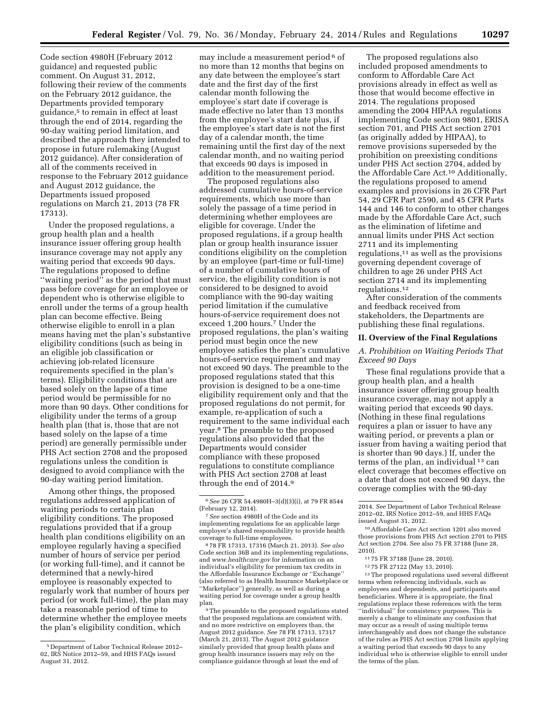Code section 4980H (February 2012 guidance) and requested public comment. On August 31, 2012, following their review of the comments on the February 2012 guidance, the Departments provided temporary guidance,5 to remain in effect at least through the end of 2014, regarding the 90-day waiting period limitation, and described the approach they intended to propose in future rulemaking (August 2012 guidance). After consideration of all of the comments received in response to the February 2012 guidance and August 2012 guidance, the Departments issued proposed regulations on March 21, 2013 (78 FR 17313).

Under the proposed regulations, a group health plan and a health insurance issuer offering group health insurance coverage may not apply any waiting period that exceeds 90 days. The regulations proposed to define ''waiting period'' as the period that must pass before coverage for an employee or dependent who is otherwise eligible to enroll under the terms of a group health plan can become effective. Being otherwise eligible to enroll in a plan means having met the plan's substantive eligibility conditions (such as being in an eligible job classification or achieving job-related licensure requirements specified in the plan's terms). Eligibility conditions that are based solely on the lapse of a time period would be permissible for no more than 90 days. Other conditions for eligibility under the terms of a group health plan (that is, those that are not based solely on the lapse of a time period) are generally permissible under PHS Act section 2708 and the proposed regulations unless the condition is designed to avoid compliance with the 90-day waiting period limitation.

Among other things, the proposed regulations addressed application of waiting periods to certain plan eligibility conditions. The proposed regulations provided that if a group health plan conditions eligibility on an employee regularly having a specified number of hours of service per period (or working full-time), and it cannot be determined that a newly-hired employee is reasonably expected to regularly work that number of hours per period (or work full-time), the plan may take a reasonable period of time to determine whether the employee meets the plan's eligibility condition, which

may include a measurement period<sup>6</sup> of no more than 12 months that begins on any date between the employee's start date and the first day of the first calendar month following the employee's start date if coverage is made effective no later than 13 months from the employee's start date plus, if the employee's start date is not the first day of a calendar month, the time remaining until the first day of the next calendar month, and no waiting period that exceeds 90 days is imposed in addition to the measurement period.

The proposed regulations also addressed cumulative hours-of-service requirements, which use more than solely the passage of a time period in determining whether employees are eligible for coverage. Under the proposed regulations, if a group health plan or group health insurance issuer conditions eligibility on the completion by an employee (part-time or full-time) of a number of cumulative hours of service, the eligibility condition is not considered to be designed to avoid compliance with the 90-day waiting period limitation if the cumulative hours-of-service requirement does not exceed 1,200 hours.7 Under the proposed regulations, the plan's waiting period must begin once the new employee satisfies the plan's cumulative hours-of-service requirement and may not exceed 90 days. The preamble to the proposed regulations stated that this provision is designed to be a one-time eligibility requirement only and that the proposed regulations do not permit, for example, re-application of such a requirement to the same individual each year.8 The preamble to the proposed regulations also provided that the Departments would consider compliance with these proposed regulations to constitute compliance with PHS Act section 2708 at least through the end of 2014.9

8 78 FR 17313, 17316 (March 21, 2013). *See also*  Code section 36B and its implementing regulations, and *[www.healthcare.gov](http://www.healthcare.gov)* for information on an individual's eligibility for premium tax credits in the Affordable Insurance Exchange or ''Exchange'' (also referred to as Health Insurance Marketplace or ''Marketplace'') generally, as well as during a waiting period for coverage under a group health plan.

<sup>9</sup>The preamble to the proposed regulations stated that the proposed regulations are consistent with, and no more restrictive on employers than, the August 2012 guidance. *See* 78 FR 17313, 17317 (March 21, 2013). The August 2012 guidance similarly provided that group health plans and group health insurance issuers may rely on the compliance guidance through at least the end of

The proposed regulations also included proposed amendments to conform to Affordable Care Act provisions already in effect as well as those that would become effective in 2014. The regulations proposed amending the 2004 HIPAA regulations implementing Code section 9801, ERISA section 701, and PHS Act section 2701 (as originally added by HIPAA), to remove provisions superseded by the prohibition on preexisting conditions under PHS Act section 2704, added by the Affordable Care Act.10 Additionally, the regulations proposed to amend examples and provisions in 26 CFR Part 54, 29 CFR Part 2590, and 45 CFR Parts 144 and 146 to conform to other changes made by the Affordable Care Act, such as the elimination of lifetime and annual limits under PHS Act section 2711 and its implementing regulations,11 as well as the provisions governing dependent coverage of children to age 26 under PHS Act section 2714 and its implementing regulations.12

After consideration of the comments and feedback received from stakeholders, the Departments are publishing these final regulations.

#### **II. Overview of the Final Regulations**

*A. Prohibition on Waiting Periods That Exceed 90 Days* 

These final regulations provide that a group health plan, and a health insurance issuer offering group health insurance coverage, may not apply a waiting period that exceeds 90 days. (Nothing in these final regulations requires a plan or issuer to have any waiting period, or prevents a plan or issuer from having a waiting period that is shorter than 90 days.) If, under the terms of the plan, an individual 13 can elect coverage that becomes effective on a date that does not exceed 90 days, the coverage complies with the 90-day

12 75 FR 27122 (May 13, 2010).

13The proposed regulations used several different terms when referencing individuals, such as employees and dependents, and participants and beneficiaries. Where it is appropriate, the final regulations replace these references with the term ''individual'' for consistency purposes. This is merely a change to eliminate any confusion that may occur as a result of using multiple terms interchangeably and does not change the substance of the rules as PHS Act section 2708 limits applying a waiting period that exceeds 90 days to any individual who is otherwise eligible to enroll under the terms of the plan.

<sup>5</sup> Department of Labor Technical Release 2012– 02, IRS Notice 2012–59, and HHS FAQs issued August 31, 2012.

<sup>6</sup>*See* 26 CFR 54.4980H–3(d)(3)(i), at 79 FR 8544 (February 12, 2014).

<sup>7</sup>*See* section 4980H of the Code and its implementing regulations for an applicable large employer's shared responsibility to provide health coverage to full-time employees.

<sup>2014.</sup> *See* Department of Labor Technical Release 2012–02, IRS Notice 2012–59, and HHS FAQs issued August 31, 2012.

<sup>10</sup>Affordable Care Act section 1201 also moved those provisions from PHS Act section 2701 to PHS Act section 2704. See also 75 FR 37188 (June 28, 2010).

<sup>11</sup> 75 FR 37188 (June 28, 2010).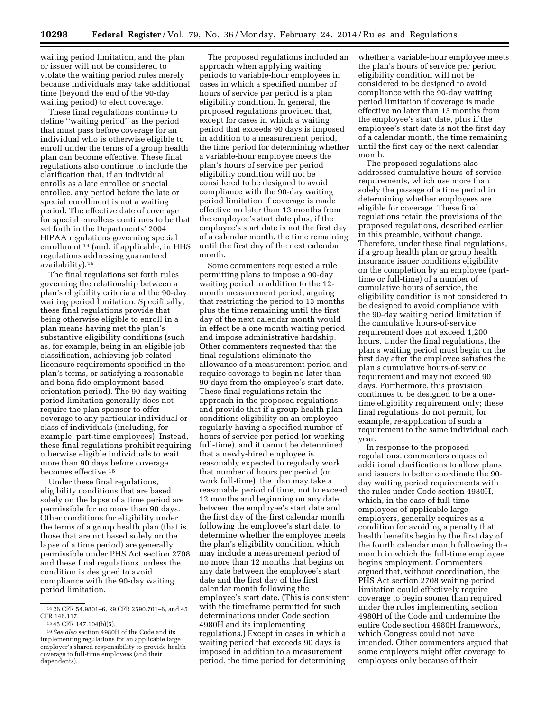waiting period limitation, and the plan or issuer will not be considered to violate the waiting period rules merely because individuals may take additional time (beyond the end of the 90-day waiting period) to elect coverage.

These final regulations continue to define ''waiting period'' as the period that must pass before coverage for an individual who is otherwise eligible to enroll under the terms of a group health plan can become effective. These final regulations also continue to include the clarification that, if an individual enrolls as a late enrollee or special enrollee, any period before the late or special enrollment is not a waiting period. The effective date of coverage for special enrollees continues to be that set forth in the Departments' 2004 HIPAA regulations governing special enrollment 14 (and, if applicable, in HHS regulations addressing guaranteed availability).15

The final regulations set forth rules governing the relationship between a plan's eligibility criteria and the 90-day waiting period limitation. Specifically, these final regulations provide that being otherwise eligible to enroll in a plan means having met the plan's substantive eligibility conditions (such as, for example, being in an eligible job classification, achieving job-related licensure requirements specified in the plan's terms, or satisfying a reasonable and bona fide employment-based orientation period). The 90-day waiting period limitation generally does not require the plan sponsor to offer coverage to any particular individual or class of individuals (including, for example, part-time employees). Instead, these final regulations prohibit requiring otherwise eligible individuals to wait more than 90 days before coverage becomes effective.16

Under these final regulations, eligibility conditions that are based solely on the lapse of a time period are permissible for no more than 90 days. Other conditions for eligibility under the terms of a group health plan (that is, those that are not based solely on the lapse of a time period) are generally permissible under PHS Act section 2708 and these final regulations, unless the condition is designed to avoid compliance with the 90-day waiting period limitation.

The proposed regulations included an approach when applying waiting periods to variable-hour employees in cases in which a specified number of hours of service per period is a plan eligibility condition. In general, the proposed regulations provided that, except for cases in which a waiting period that exceeds 90 days is imposed in addition to a measurement period, the time period for determining whether a variable-hour employee meets the plan's hours of service per period eligibility condition will not be considered to be designed to avoid compliance with the 90-day waiting period limitation if coverage is made effective no later than 13 months from the employee's start date plus, if the employee's start date is not the first day of a calendar month, the time remaining until the first day of the next calendar month.

Some commenters requested a rule permitting plans to impose a 90-day waiting period in addition to the 12 month measurement period, arguing that restricting the period to 13 months plus the time remaining until the first day of the next calendar month would in effect be a one month waiting period and impose administrative hardship. Other commenters requested that the final regulations eliminate the allowance of a measurement period and require coverage to begin no later than 90 days from the employee's start date. These final regulations retain the approach in the proposed regulations and provide that if a group health plan conditions eligibility on an employee regularly having a specified number of hours of service per period (or working full-time), and it cannot be determined that a newly-hired employee is reasonably expected to regularly work that number of hours per period (or work full-time), the plan may take a reasonable period of time, not to exceed 12 months and beginning on any date between the employee's start date and the first day of the first calendar month following the employee's start date, to determine whether the employee meets the plan's eligibility condition, which may include a measurement period of no more than 12 months that begins on any date between the employee's start date and the first day of the first calendar month following the employee's start date. (This is consistent with the timeframe permitted for such determinations under Code section 4980H and its implementing regulations.) Except in cases in which a waiting period that exceeds 90 days is imposed in addition to a measurement period, the time period for determining

whether a variable-hour employee meets the plan's hours of service per period eligibility condition will not be considered to be designed to avoid compliance with the 90-day waiting period limitation if coverage is made effective no later than 13 months from the employee's start date, plus if the employee's start date is not the first day of a calendar month, the time remaining until the first day of the next calendar month.

The proposed regulations also addressed cumulative hours-of-service requirements, which use more than solely the passage of a time period in determining whether employees are eligible for coverage. These final regulations retain the provisions of the proposed regulations, described earlier in this preamble, without change. Therefore, under these final regulations, if a group health plan or group health insurance issuer conditions eligibility on the completion by an employee (parttime or full-time) of a number of cumulative hours of service, the eligibility condition is not considered to be designed to avoid compliance with the 90-day waiting period limitation if the cumulative hours-of-service requirement does not exceed 1,200 hours. Under the final regulations, the plan's waiting period must begin on the first day after the employee satisfies the plan's cumulative hours-of-service requirement and may not exceed 90 days. Furthermore, this provision continues to be designed to be a onetime eligibility requirement only; these final regulations do not permit, for example, re-application of such a requirement to the same individual each year.

In response to the proposed regulations, commenters requested additional clarifications to allow plans and issuers to better coordinate the 90 day waiting period requirements with the rules under Code section 4980H, which, in the case of full-time employees of applicable large employers, generally requires as a condition for avoiding a penalty that health benefits begin by the first day of the fourth calendar month following the month in which the full-time employee begins employment. Commenters argued that, without coordination, the PHS Act section 2708 waiting period limitation could effectively require coverage to begin sooner than required under the rules implementing section 4980H of the Code and undermine the entire Code section 4980H framework, which Congress could not have intended. Other commenters argued that some employers might offer coverage to employees only because of their

<sup>14</sup> 26 CFR 54.9801–6, 29 CFR 2590.701–6, and 45 CFR 146.117.

<sup>15</sup> 45 CFR 147.104(b)(5).

<sup>16</sup>*See also* section 4980H of the Code and its implementing regulations for an applicable large employer's shared responsibility to provide health coverage to full-time employees (and their dependents).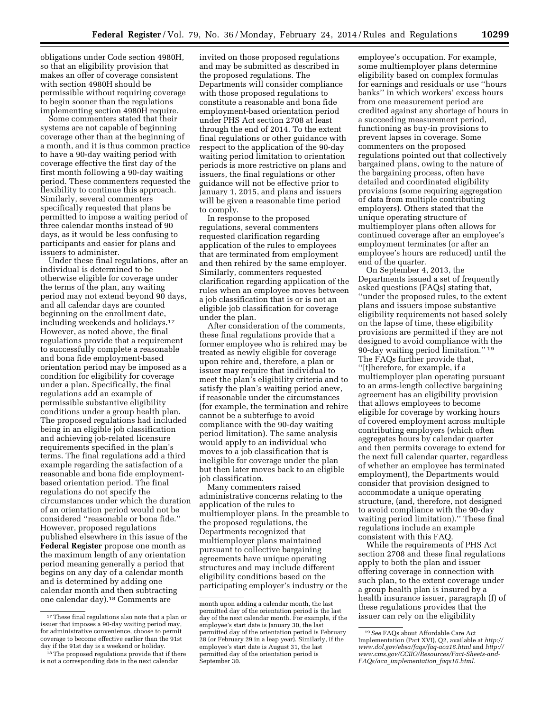obligations under Code section 4980H, so that an eligibility provision that makes an offer of coverage consistent with section 4980H should be permissible without requiring coverage to begin sooner than the regulations implementing section 4980H require.

Some commenters stated that their systems are not capable of beginning coverage other than at the beginning of a month, and it is thus common practice to have a 90-day waiting period with coverage effective the first day of the first month following a 90-day waiting period. These commenters requested the flexibility to continue this approach. Similarly, several commenters specifically requested that plans be permitted to impose a waiting period of three calendar months instead of 90 days, as it would be less confusing to participants and easier for plans and issuers to administer.

Under these final regulations, after an individual is determined to be otherwise eligible for coverage under the terms of the plan, any waiting period may not extend beyond 90 days, and all calendar days are counted beginning on the enrollment date, including weekends and holidays.17 However, as noted above, the final regulations provide that a requirement to successfully complete a reasonable and bona fide employment-based orientation period may be imposed as a condition for eligibility for coverage under a plan. Specifically, the final regulations add an example of permissible substantive eligibility conditions under a group health plan. The proposed regulations had included being in an eligible job classification and achieving job-related licensure requirements specified in the plan's terms. The final regulations add a third example regarding the satisfaction of a reasonable and bona fide employmentbased orientation period. The final regulations do not specify the circumstances under which the duration of an orientation period would not be considered ''reasonable or bona fide.'' However, proposed regulations published elsewhere in this issue of the **Federal Register** propose one month as the maximum length of any orientation period meaning generally a period that begins on any day of a calendar month and is determined by adding one calendar month and then subtracting one calendar day).18 Comments are

invited on those proposed regulations and may be submitted as described in the proposed regulations. The Departments will consider compliance with those proposed regulations to constitute a reasonable and bona fide employment-based orientation period under PHS Act section 2708 at least through the end of 2014. To the extent final regulations or other guidance with respect to the application of the 90-day waiting period limitation to orientation periods is more restrictive on plans and issuers, the final regulations or other guidance will not be effective prior to January 1, 2015, and plans and issuers will be given a reasonable time period to comply.

In response to the proposed regulations, several commenters requested clarification regarding application of the rules to employees that are terminated from employment and then rehired by the same employer. Similarly, commenters requested clarification regarding application of the rules when an employee moves between a job classification that is or is not an eligible job classification for coverage under the plan.

After consideration of the comments, these final regulations provide that a former employee who is rehired may be treated as newly eligible for coverage upon rehire and, therefore, a plan or issuer may require that individual to meet the plan's eligibility criteria and to satisfy the plan's waiting period anew, if reasonable under the circumstances (for example, the termination and rehire cannot be a subterfuge to avoid compliance with the 90-day waiting period limitation). The same analysis would apply to an individual who moves to a job classification that is ineligible for coverage under the plan but then later moves back to an eligible job classification.

Many commenters raised administrative concerns relating to the application of the rules to multiemployer plans. In the preamble to the proposed regulations, the Departments recognized that multiemployer plans maintained pursuant to collective bargaining agreements have unique operating structures and may include different eligibility conditions based on the participating employer's industry or the

employee's occupation. For example, some multiemployer plans determine eligibility based on complex formulas for earnings and residuals or use ''hours banks'' in which workers' excess hours from one measurement period are credited against any shortage of hours in a succeeding measurement period, functioning as buy-in provisions to prevent lapses in coverage. Some commenters on the proposed regulations pointed out that collectively bargained plans, owing to the nature of the bargaining process, often have detailed and coordinated eligibility provisions (some requiring aggregation of data from multiple contributing employers). Others stated that the unique operating structure of multiemployer plans often allows for continued coverage after an employee's employment terminates (or after an employee's hours are reduced) until the end of the quarter.

On September 4, 2013, the Departments issued a set of frequently asked questions (FAQs) stating that, ''under the proposed rules, to the extent plans and issuers impose substantive eligibility requirements not based solely on the lapse of time, these eligibility provisions are permitted if they are not designed to avoid compliance with the 90-day waiting period limitation.'' 19 The FAQs further provide that, ''[t]herefore, for example, if a multiemployer plan operating pursuant to an arms-length collective bargaining agreement has an eligibility provision that allows employees to become eligible for coverage by working hours of covered employment across multiple contributing employers (which often aggregates hours by calendar quarter and then permits coverage to extend for the next full calendar quarter, regardless of whether an employee has terminated employment), the Departments would consider that provision designed to accommodate a unique operating structure, (and, therefore, not designed to avoid compliance with the 90-day waiting period limitation).'' These final regulations include an example consistent with this FAQ.

While the requirements of PHS Act section 2708 and these final regulations apply to both the plan and issuer offering coverage in connection with such plan, to the extent coverage under a group health plan is insured by a health insurance issuer, paragraph (f) of these regulations provides that the issuer can rely on the eligibility

<sup>&</sup>lt;sup>17</sup>These final regulations also note that a plan or issuer that imposes a 90-day waiting period may, for administrative convenience, choose to permit coverage to become effective earlier than the 91st day if the 91st day is a weekend or holiday.

<sup>&</sup>lt;sup>18</sup>The proposed regulations provide that if there is not a corresponding date in the next calendar

month upon adding a calendar month, the last permitted day of the orientation period is the last day of the next calendar month. For example, if the employee's start date is January 30, the last permitted day of the orientation period is February 28 (or February 29 in a leap year). Similarly, if the employee's start date is August 31, the last permitted day of the orientation period is September 30.

<sup>19</sup>*See* FAQs about Affordable Care Act Implementation (Part XVI), Q2, available at *[http://](http://www.dol.gov/ebsa/faqs/faq-aca16.html) [www.dol.gov/ebsa/faqs/faq-aca16.html](http://www.dol.gov/ebsa/faqs/faq-aca16.html)* and *[http://](http://www.cms.gov/CCIIO/Resources/Fact-Sheets-and-FAQs/aca_implementation_faqs16.html) [www.cms.gov/CCIIO/Resources/Fact-Sheets-and-](http://www.cms.gov/CCIIO/Resources/Fact-Sheets-and-FAQs/aca_implementation_faqs16.html)FAQs/aca*\_*[implementation](http://www.cms.gov/CCIIO/Resources/Fact-Sheets-and-FAQs/aca_implementation_faqs16.html)*\_*faqs16.html.*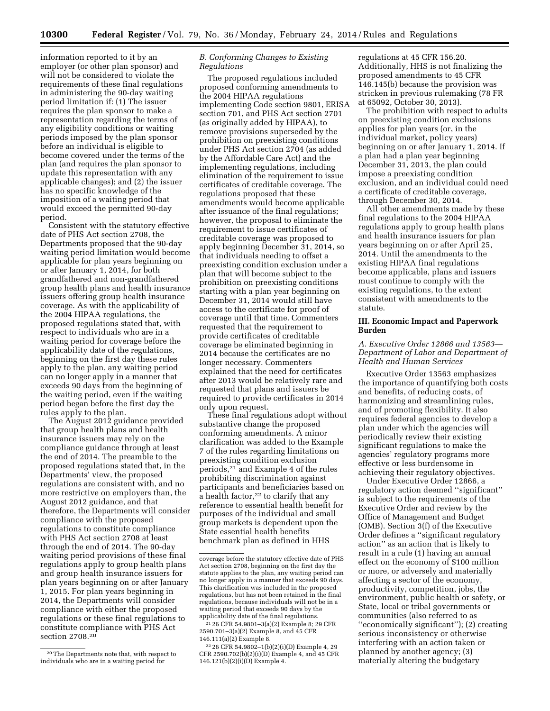information reported to it by an employer (or other plan sponsor) and will not be considered to violate the requirements of these final regulations in administering the 90-day waiting period limitation if: (1) The issuer requires the plan sponsor to make a representation regarding the terms of any eligibility conditions or waiting periods imposed by the plan sponsor before an individual is eligible to become covered under the terms of the plan (and requires the plan sponsor to update this representation with any applicable changes); and (2) the issuer has no specific knowledge of the imposition of a waiting period that would exceed the permitted 90-day period.

Consistent with the statutory effective date of PHS Act section 2708, the Departments proposed that the 90-day waiting period limitation would become applicable for plan years beginning on or after January 1, 2014, for both grandfathered and non-grandfathered group health plans and health insurance issuers offering group health insurance coverage. As with the applicability of the 2004 HIPAA regulations, the proposed regulations stated that, with respect to individuals who are in a waiting period for coverage before the applicability date of the regulations, beginning on the first day these rules apply to the plan, any waiting period can no longer apply in a manner that exceeds 90 days from the beginning of the waiting period, even if the waiting period began before the first day the rules apply to the plan.

The August 2012 guidance provided that group health plans and health insurance issuers may rely on the compliance guidance through at least the end of 2014. The preamble to the proposed regulations stated that, in the Departments' view, the proposed regulations are consistent with, and no more restrictive on employers than, the August 2012 guidance, and that therefore, the Departments will consider compliance with the proposed regulations to constitute compliance with PHS Act section 2708 at least through the end of 2014. The 90-day waiting period provisions of these final regulations apply to group health plans and group health insurance issuers for plan years beginning on or after January 1, 2015. For plan years beginning in 2014, the Departments will consider compliance with either the proposed regulations or these final regulations to constitute compliance with PHS Act section 2708.20

#### *B. Conforming Changes to Existing Regulations*

The proposed regulations included proposed conforming amendments to the 2004 HIPAA regulations implementing Code section 9801, ERISA section 701, and PHS Act section 2701 (as originally added by HIPAA), to remove provisions superseded by the prohibition on preexisting conditions under PHS Act section 2704 (as added by the Affordable Care Act) and the implementing regulations, including elimination of the requirement to issue certificates of creditable coverage. The regulations proposed that these amendments would become applicable after issuance of the final regulations; however, the proposal to eliminate the requirement to issue certificates of creditable coverage was proposed to apply beginning December 31, 2014, so that individuals needing to offset a preexisting condition exclusion under a plan that will become subject to the prohibition on preexisting conditions starting with a plan year beginning on December 31, 2014 would still have access to the certificate for proof of coverage until that time. Commenters requested that the requirement to provide certificates of creditable coverage be eliminated beginning in 2014 because the certificates are no longer necessary. Commenters explained that the need for certificates after 2013 would be relatively rare and requested that plans and issuers be required to provide certificates in 2014 only upon request.

These final regulations adopt without substantive change the proposed conforming amendments. A minor clarification was added to the Example 7 of the rules regarding limitations on preexisting condition exclusion periods,21 and Example 4 of the rules prohibiting discrimination against participants and beneficiaries based on a health factor, $22$  to clarify that any reference to essential health benefit for purposes of the individual and small group markets is dependent upon the State essential health benefits benchmark plan as defined in HHS

regulations at 45 CFR 156.20. Additionally, HHS is not finalizing the proposed amendments to 45 CFR 146.145(b) because the provision was stricken in previous rulemaking (78 FR at 65092, October 30, 2013).

The prohibition with respect to adults on preexisting condition exclusions applies for plan years (or, in the individual market, policy years) beginning on or after January 1, 2014. If a plan had a plan year beginning December 31, 2013, the plan could impose a preexisting condition exclusion, and an individual could need a certificate of creditable coverage, through December 30, 2014.

All other amendments made by these final regulations to the 2004 HIPAA regulations apply to group health plans and health insurance issuers for plan years beginning on or after April 25, 2014. Until the amendments to the existing HIPAA final regulations become applicable, plans and issuers must continue to comply with the existing regulations, to the extent consistent with amendments to the statute.

#### **III. Economic Impact and Paperwork Burden**

#### *A. Executive Order 12866 and 13563— Department of Labor and Department of Health and Human Services*

Executive Order 13563 emphasizes the importance of quantifying both costs and benefits, of reducing costs, of harmonizing and streamlining rules, and of promoting flexibility. It also requires federal agencies to develop a plan under which the agencies will periodically review their existing significant regulations to make the agencies' regulatory programs more effective or less burdensome in achieving their regulatory objectives.

Under Executive Order 12866, a regulatory action deemed ''significant'' is subject to the requirements of the Executive Order and review by the Office of Management and Budget (OMB). Section 3(f) of the Executive Order defines a ''significant regulatory action'' as an action that is likely to result in a rule (1) having an annual effect on the economy of \$100 million or more, or adversely and materially affecting a sector of the economy, productivity, competition, jobs, the environment, public health or safety, or State, local or tribal governments or communities (also referred to as ''economically significant''); (2) creating serious inconsistency or otherwise interfering with an action taken or planned by another agency; (3) materially altering the budgetary

<sup>20</sup>The Departments note that, with respect to individuals who are in a waiting period for

coverage before the statutory effective date of PHS Act section 2708, beginning on the first day the statute applies to the plan, any waiting period can no longer apply in a manner that exceeds 90 days. This clarification was included in the proposed regulations, but has not been retained in the final regulations, because individuals will not be in a waiting period that exceeds 90 days by the applicability date of the final regulations.

<sup>21</sup> 26 CFR 54.9801–3(a)(2) Example 8; 29 CFR 2590.701–3(a)(2) Example 8, and 45 CFR 146.111(a)(2) Example 8.

<sup>22</sup> 26 CFR 54.9802–1(b)(2)(i)(D) Example 4, 29 CFR 2590.702(b)(2)(i)(D) Example 4, and 45 CFR 146.121(b)(2)(i)(D) Example 4.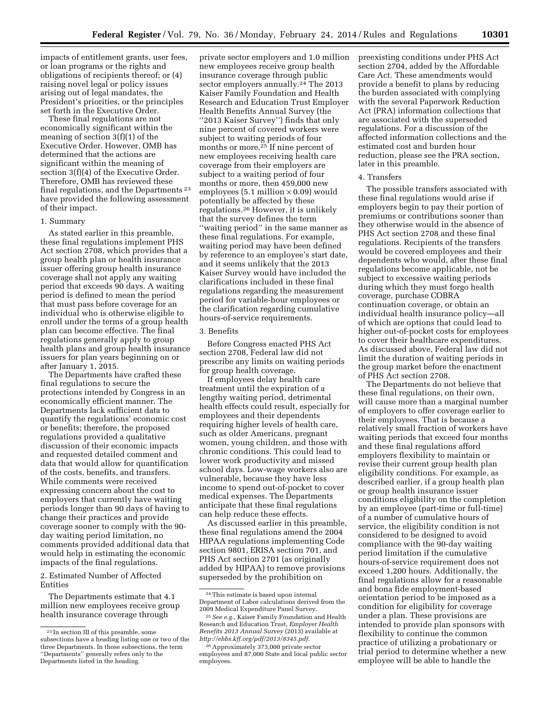impacts of entitlement grants, user fees, or loan programs or the rights and obligations of recipients thereof; or (4) raising novel legal or policy issues arising out of legal mandates, the President's priorities, or the principles set forth in the Executive Order.

These final regulations are not economically significant within the meaning of section 3(f)(1) of the Executive Order. However, OMB has determined that the actions are significant within the meaning of section 3(f)(4) of the Executive Order. Therefore, OMB has reviewed these final regulations, and the Departments 23 have provided the following assessment of their impact.

#### 1. Summary

As stated earlier in this preamble, these final regulations implement PHS Act section 2708, which provides that a group health plan or health insurance issuer offering group health insurance coverage shall not apply any waiting period that exceeds 90 days. A waiting period is defined to mean the period that must pass before coverage for an individual who is otherwise eligible to enroll under the terms of a group health plan can become effective. The final regulations generally apply to group health plans and group health insurance issuers for plan years beginning on or after January 1, 2015.

The Departments have crafted these final regulations to secure the protections intended by Congress in an economically efficient manner. The Departments lack sufficient data to quantify the regulations' economic cost or benefits; therefore, the proposed regulations provided a qualitative discussion of their economic impacts and requested detailed comment and data that would allow for quantification of the costs, benefits, and transfers. While comments were received expressing concern about the cost to employers that currently have waiting periods longer than 90 days of having to change their practices and provide coverage sooner to comply with the 90 day waiting period limitation, no comments provided additional data that would help in estimating the economic impacts of the final regulations.

#### 2. Estimated Number of Affected Entities

The Departments estimate that 4.1 million new employees receive group health insurance coverage through

private sector employers and 1.0 million new employees receive group health insurance coverage through public sector employers annually.<sup>24</sup> The 2013 Kaiser Family Foundation and Health Research and Education Trust Employer Health Benefits Annual Survey (the ''2013 Kaiser Survey'') finds that only nine percent of covered workers were subject to waiting periods of four months or more.25 If nine percent of new employees receiving health care coverage from their employers are subject to a waiting period of four months or more, then 459,000 new employees (5.1 million  $\times$  0.09) would potentially be affected by these regulations.26 However, it is unlikely that the survey defines the term ''waiting period'' in the same manner as these final regulations. For example, waiting period may have been defined by reference to an employee's start date, and it seems unlikely that the 2013 Kaiser Survey would have included the clarifications included in these final regulations regarding the measurement period for variable-hour employees or the clarification regarding cumulative hours-of-service requirements.

#### 3. Benefits

Before Congress enacted PHS Act section 2708, Federal law did not prescribe any limits on waiting periods for group health coverage.

If employees delay health care treatment until the expiration of a lengthy waiting period, detrimental health effects could result, especially for employees and their dependents requiring higher levels of health care, such as older Americans, pregnant women, young children, and those with chronic conditions. This could lead to lower work productivity and missed school days. Low-wage workers also are vulnerable, because they have less income to spend out-of-pocket to cover medical expenses. The Departments anticipate that these final regulations can help reduce these effects.

As discussed earlier in this preamble, these final regulations amend the 2004 HIPAA regulations implementing Code section 9801, ERISA section 701, and PHS Act section 2701 (as originally added by HIPAA) to remove provisions superseded by the prohibition on

preexisting conditions under PHS Act section 2704, added by the Affordable Care Act. These amendments would provide a benefit to plans by reducing the burden associated with complying with the several Paperwork Reduction Act (PRA) information collections that are associated with the superseded regulations. For a discussion of the affected information collections and the estimated cost and burden hour reduction, please see the PRA section, later in this preamble.

#### 4. Transfers

The possible transfers associated with these final regulations would arise if employers begin to pay their portion of premiums or contributions sooner than they otherwise would in the absence of PHS Act section 2708 and these final regulations. Recipients of the transfers would be covered employees and their dependents who would, after these final regulations become applicable, not be subject to excessive waiting periods during which they must forgo health coverage, purchase COBRA continuation coverage, or obtain an individual health insurance policy—all of which are options that could lead to higher out-of-pocket costs for employees to cover their healthcare expenditures. As discussed above, Federal law did not limit the duration of waiting periods in the group market before the enactment of PHS Act section 2708.

The Departments do not believe that these final regulations, on their own, will cause more than a marginal number of employers to offer coverage earlier to their employees. That is because a relatively small fraction of workers have waiting periods that exceed four months and these final regulations afford employers flexibility to maintain or revise their current group health plan eligibility conditions. For example, as described earlier, if a group health plan or group health insurance issuer conditions eligibility on the completion by an employee (part-time or full-time) of a number of cumulative hours of service, the eligibility condition is not considered to be designed to avoid compliance with the 90-day waiting period limitation if the cumulative hours-of-service requirement does not exceed 1,200 hours. Additionally, the final regulations allow for a reasonable and bona fide employment-based orientation period to be imposed as a condition for eligibility for coverage under a plan. These provisions are intended to provide plan sponsors with flexibility to continue the common practice of utilizing a probationary or trial period to determine whether a new employee will be able to handle the

<sup>23</sup> In section III of this preamble, some subsections have a heading listing one or two of the three Departments. In those subsections, the term ''Departments'' generally refers only to the Departments listed in the heading.

<sup>24</sup>This estimate is based upon internal Department of Labor calculations derived from the 2009 Medical Expenditure Panel Survey.

<sup>25</sup>*See e.g.,* Kaiser Family Foundation and Health Research and Education Trust, *Employer Health Benefits 2013 Annual Survey* (2013) available at *[http://ehbs.kff.org/pdf/2013/8345.pdf.](http://ehbs.kff.org/pdf/2013/8345.pdf)* 

<sup>26</sup>Approximately 373,000 private sector employees and 87,000 State and local public sector employees.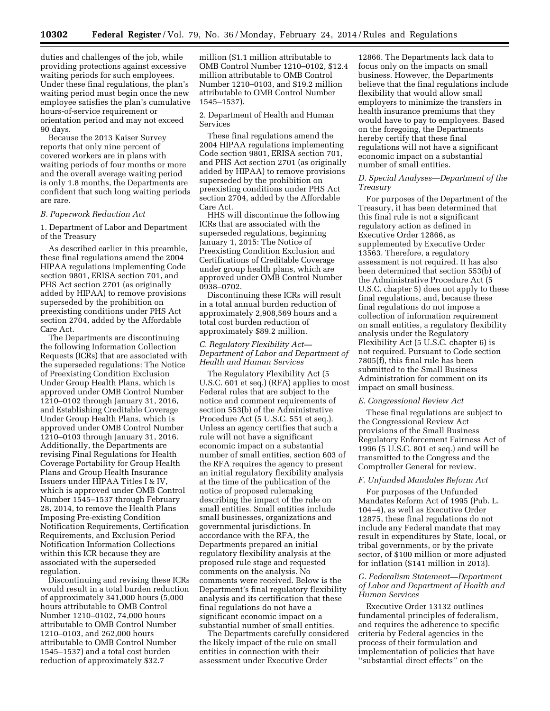duties and challenges of the job, while providing protections against excessive waiting periods for such employees. Under these final regulations, the plan's waiting period must begin once the new employee satisfies the plan's cumulative hours-of-service requirement or orientation period and may not exceed 90 days.

Because the 2013 Kaiser Survey reports that only nine percent of covered workers are in plans with waiting periods of four months or more and the overall average waiting period is only 1.8 months, the Departments are confident that such long waiting periods are rare.

#### *B. Paperwork Reduction Act*

1. Department of Labor and Department of the Treasury

As described earlier in this preamble, these final regulations amend the 2004 HIPAA regulations implementing Code section 9801, ERISA section 701, and PHS Act section 2701 (as originally added by HIPAA) to remove provisions superseded by the prohibition on preexisting conditions under PHS Act section 2704, added by the Affordable Care Act.

The Departments are discontinuing the following Information Collection Requests (ICRs) that are associated with the superseded regulations: The Notice of Preexisting Condition Exclusion Under Group Health Plans, which is approved under OMB Control Number 1210–0102 through January 31, 2016, and Establishing Creditable Coverage Under Group Health Plans, which is approved under OMB Control Number 1210–0103 through January 31, 2016. Additionally, the Departments are revising Final Regulations for Health Coverage Portability for Group Health Plans and Group Health Insurance Issuers under HIPAA Titles I & IV, which is approved under OMB Control Number 1545–1537 through February 28, 2014, to remove the Health Plans Imposing Pre-existing Condition Notification Requirements, Certification Requirements, and Exclusion Period Notification Information Collections within this ICR because they are associated with the superseded regulation.

Discontinuing and revising these ICRs would result in a total burden reduction of approximately 341,000 hours (5,000 hours attributable to OMB Control Number 1210–0102, 74,000 hours attributable to OMB Control Number 1210–0103, and 262,000 hours attributable to OMB Control Number 1545–1537) and a total cost burden reduction of approximately \$32.7

million (\$1.1 million attributable to OMB Control Number 1210–0102, \$12.4 million attributable to OMB Control Number 1210–0103, and \$19.2 million attributable to OMB Control Number 1545–1537).

2. Department of Health and Human Services

These final regulations amend the 2004 HIPAA regulations implementing Code section 9801, ERISA section 701, and PHS Act section 2701 (as originally added by HIPAA) to remove provisions superseded by the prohibition on preexisting conditions under PHS Act section 2704, added by the Affordable Care Act.

HHS will discontinue the following ICRs that are associated with the superseded regulations, beginning January 1, 2015: The Notice of Preexisting Condition Exclusion and Certifications of Creditable Coverage under group health plans, which are approved under OMB Control Number 0938–0702.

Discontinuing these ICRs will result in a total annual burden reduction of approximately 2,908,569 hours and a total cost burden reduction of approximately \$89.2 million.

#### *C. Regulatory Flexibility Act— Department of Labor and Department of Health and Human Services*

The Regulatory Flexibility Act (5 U.S.C. 601 et seq.) (RFA) applies to most Federal rules that are subject to the notice and comment requirements of section 553(b) of the Administrative Procedure Act (5 U.S.C. 551 et seq.). Unless an agency certifies that such a rule will not have a significant economic impact on a substantial number of small entities, section 603 of the RFA requires the agency to present an initial regulatory flexibility analysis at the time of the publication of the notice of proposed rulemaking describing the impact of the rule on small entities. Small entities include small businesses, organizations and governmental jurisdictions. In accordance with the RFA, the Departments prepared an initial regulatory flexibility analysis at the proposed rule stage and requested comments on the analysis. No comments were received. Below is the Department's final regulatory flexibility analysis and its certification that these final regulations do not have a significant economic impact on a substantial number of small entities.

The Departments carefully considered the likely impact of the rule on small entities in connection with their assessment under Executive Order

12866. The Departments lack data to focus only on the impacts on small business. However, the Departments believe that the final regulations include flexibility that would allow small employers to minimize the transfers in health insurance premiums that they would have to pay to employees. Based on the foregoing, the Departments hereby certify that these final regulations will not have a significant economic impact on a substantial number of small entities.

#### *D. Special Analyses—Department of the Treasury*

For purposes of the Department of the Treasury, it has been determined that this final rule is not a significant regulatory action as defined in Executive Order 12866, as supplemented by Executive Order 13563. Therefore, a regulatory assessment is not required. It has also been determined that section 553(b) of the Administrative Procedure Act (5 U.S.C. chapter 5) does not apply to these final regulations, and, because these final regulations do not impose a collection of information requirement on small entities, a regulatory flexibility analysis under the Regulatory Flexibility Act (5 U.S.C. chapter 6) is not required. Pursuant to Code section 7805(f), this final rule has been submitted to the Small Business Administration for comment on its impact on small business.

#### *E. Congressional Review Act*

These final regulations are subject to the Congressional Review Act provisions of the Small Business Regulatory Enforcement Fairness Act of 1996 (5 U.S.C. 801 et seq.) and will be transmitted to the Congress and the Comptroller General for review.

#### *F. Unfunded Mandates Reform Act*

For purposes of the Unfunded Mandates Reform Act of 1995 (Pub. L. 104–4), as well as Executive Order 12875, these final regulations do not include any Federal mandate that may result in expenditures by State, local, or tribal governments, or by the private sector, of \$100 million or more adjusted for inflation (\$141 million in 2013).

#### *G. Federalism Statement—Department of Labor and Department of Health and Human Services*

Executive Order 13132 outlines fundamental principles of federalism, and requires the adherence to specific criteria by Federal agencies in the process of their formulation and implementation of policies that have ''substantial direct effects'' on the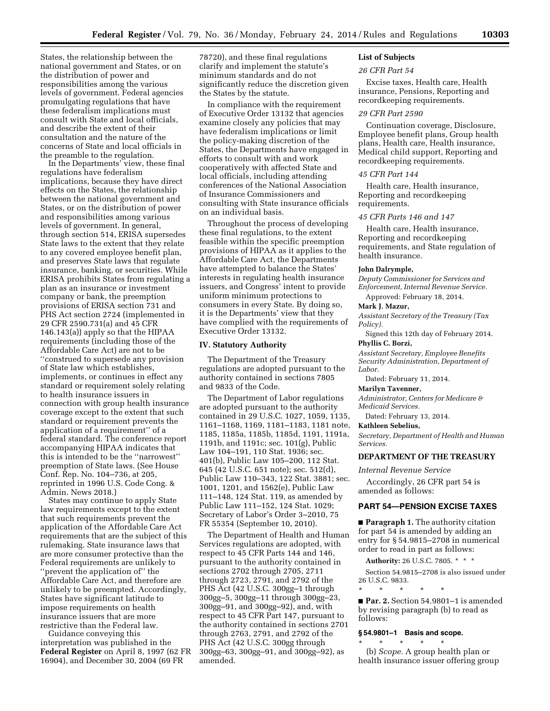States, the relationship between the national government and States, or on the distribution of power and responsibilities among the various levels of government. Federal agencies promulgating regulations that have these federalism implications must consult with State and local officials, and describe the extent of their consultation and the nature of the concerns of State and local officials in the preamble to the regulation.

In the Departments' view, these final regulations have federalism implications, because they have direct effects on the States, the relationship between the national government and States, or on the distribution of power and responsibilities among various levels of government. In general, through section 514, ERISA supersedes State laws to the extent that they relate to any covered employee benefit plan, and preserves State laws that regulate insurance, banking, or securities. While ERISA prohibits States from regulating a plan as an insurance or investment company or bank, the preemption provisions of ERISA section 731 and PHS Act section 2724 (implemented in 29 CFR 2590.731(a) and 45 CFR 146.143(a)) apply so that the HIPAA requirements (including those of the Affordable Care Act) are not to be ''construed to supersede any provision of State law which establishes, implements, or continues in effect any standard or requirement solely relating to health insurance issuers in connection with group health insurance coverage except to the extent that such standard or requirement prevents the application of a requirement'' of a federal standard. The conference report accompanying HIPAA indicates that this is intended to be the ''narrowest'' preemption of State laws. (See House Conf. Rep. No. 104–736, at 205, reprinted in 1996 U.S. Code Cong. & Admin. News 2018.)

States may continue to apply State law requirements except to the extent that such requirements prevent the application of the Affordable Care Act requirements that are the subject of this rulemaking. State insurance laws that are more consumer protective than the Federal requirements are unlikely to ''prevent the application of'' the Affordable Care Act, and therefore are unlikely to be preempted. Accordingly, States have significant latitude to impose requirements on health insurance issuers that are more restrictive than the Federal law.

Guidance conveying this interpretation was published in the **Federal Register** on April 8, 1997 (62 FR 16904), and December 30, 2004 (69 FR

78720), and these final regulations clarify and implement the statute's minimum standards and do not significantly reduce the discretion given the States by the statute.

In compliance with the requirement of Executive Order 13132 that agencies examine closely any policies that may have federalism implications or limit the policy-making discretion of the States, the Departments have engaged in efforts to consult with and work cooperatively with affected State and local officials, including attending conferences of the National Association of Insurance Commissioners and consulting with State insurance officials on an individual basis.

Throughout the process of developing these final regulations, to the extent feasible within the specific preemption provisions of HIPAA as it applies to the Affordable Care Act, the Departments have attempted to balance the States' interests in regulating health insurance issuers, and Congress' intent to provide uniform minimum protections to consumers in every State. By doing so, it is the Departments' view that they have complied with the requirements of Executive Order 13132.

#### **IV. Statutory Authority**

The Department of the Treasury regulations are adopted pursuant to the authority contained in sections 7805 and 9833 of the Code.

The Department of Labor regulations are adopted pursuant to the authority contained in 29 U.S.C. 1027, 1059, 1135, 1161–1168, 1169, 1181–1183, 1181 note, 1185, 1185a, 1185b, 1185d, 1191, 1191a, 1191b, and 1191c; sec. 101(g), Public Law 104–191, 110 Stat. 1936; sec. 401(b), Public Law 105–200, 112 Stat. 645 (42 U.S.C. 651 note); sec. 512(d), Public Law 110–343, 122 Stat. 3881; sec. 1001, 1201, and 1562(e), Public Law 111–148, 124 Stat. 119, as amended by Public Law 111–152, 124 Stat. 1029; Secretary of Labor's Order 3–2010, 75 FR 55354 (September 10, 2010).

The Department of Health and Human Services regulations are adopted, with respect to 45 CFR Parts 144 and 146, pursuant to the authority contained in sections 2702 through 2705, 2711 through 2723, 2791, and 2792 of the PHS Act (42 U.S.C. 300gg–1 through 300gg–5, 300gg–11 through 300gg–23, 300gg–91, and 300gg–92), and, with respect to 45 CFR Part 147, pursuant to the authority contained in sections 2701 through 2763, 2791, and 2792 of the PHS Act (42 U.S.C. 300gg through 300gg–63, 300gg–91, and 300gg–92), as amended.

## **List of Subjects**

#### *26 CFR Part 54*

Excise taxes, Health care, Health insurance, Pensions, Reporting and recordkeeping requirements.

#### *29 CFR Part 2590*

Continuation coverage, Disclosure, Employee benefit plans, Group health plans, Health care, Health insurance, Medical child support, Reporting and recordkeeping requirements.

#### *45 CFR Part 144*

Health care, Health insurance, Reporting and recordkeeping requirements.

#### *45 CFR Parts 146 and 147*

Health care, Health insurance, Reporting and recordkeeping requirements, and State regulation of health insurance.

#### **John Dalrymple,**

*Deputy Commissioner for Services and Enforcement, Internal Revenue Service.*  Approved: February 18, 2014.

**Mark J. Mazur,** 

*Assistant Secretary of the Treasury (Tax Policy).* 

Signed this 12th day of February 2014.

#### **Phyllis C. Borzi,**

*Assistant Secretary, Employee Benefits Security Administration, Department of Labor.* 

Dated: February 11, 2014.

#### **Marilyn Tavenner,**

*Administrator, Centers for Medicare & Medicaid Services.* 

Dated: February 13, 2014.

#### **Kathleen Sebelius,**

*Secretary, Department of Health and Human Services.* 

#### **DEPARTMENT OF THE TREASURY**

*Internal Revenue Service* 

Accordingly, 26 CFR part 54 is amended as follows:

#### **PART 54—PENSION EXCISE TAXES**

■ **Paragraph 1.** The authority citation for part 54 is amended by adding an entry for § 54.9815–2708 in numerical order to read in part as follows:

**Authority:** 26 U.S.C. 7805. \* \* \*

Section 54.9815–2708 is also issued under 26 U.S.C. 9833.

\* \* \* \* \* ■ **Par. 2.** Section 54.9801-1 is amended by revising paragraph (b) to read as follows:

#### **§ 54.9801–1 Basis and scope.**

 $\star$   $\qquad$   $\star$   $\qquad$   $\star$ (b) *Scope.* A group health plan or health insurance issuer offering group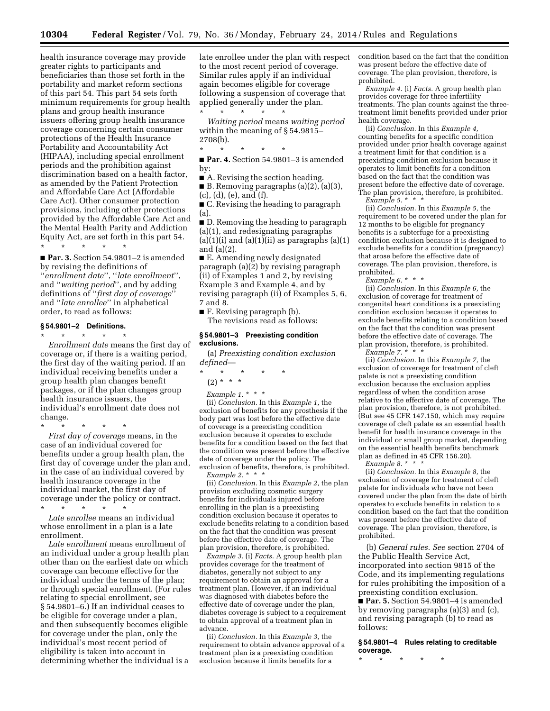health insurance coverage may provide greater rights to participants and beneficiaries than those set forth in the portability and market reform sections of this part 54. This part 54 sets forth minimum requirements for group health plans and group health insurance issuers offering group health insurance coverage concerning certain consumer protections of the Health Insurance Portability and Accountability Act (HIPAA), including special enrollment periods and the prohibition against discrimination based on a health factor, as amended by the Patient Protection and Affordable Care Act (Affordable Care Act). Other consumer protection provisions, including other protections provided by the Affordable Care Act and the Mental Health Parity and Addiction Equity Act, are set forth in this part 54. \* \* \* \* \*

■ **Par. 3.** Section 54.9801–2 is amended by revising the definitions of ''*enrollment date*'', ''*late enrollment*'', and ''*waiting period*'', and by adding definitions of ''*first day of coverage*'' and ''*late enrollee*'' in alphabetical order, to read as follows:

#### **§ 54.9801–2 Definitions.**

\* \* \* \* \* *Enrollment date* means the first day of coverage or, if there is a waiting period, the first day of the waiting period. If an individual receiving benefits under a group health plan changes benefit packages, or if the plan changes group health insurance issuers, the individual's enrollment date does not change.

\* \* \* \* \* *First day of coverage* means, in the case of an individual covered for benefits under a group health plan, the first day of coverage under the plan and, in the case of an individual covered by health insurance coverage in the individual market, the first day of coverage under the policy or contract.

\* \* \* \* \* *Late enrollee* means an individual whose enrollment in a plan is a late enrollment.

*Late enrollment* means enrollment of an individual under a group health plan other than on the earliest date on which coverage can become effective for the individual under the terms of the plan; or through special enrollment. (For rules relating to special enrollment, see § 54.9801–6.) If an individual ceases to be eligible for coverage under a plan, and then subsequently becomes eligible for coverage under the plan, only the individual's most recent period of eligibility is taken into account in determining whether the individual is a

late enrollee under the plan with respect to the most recent period of coverage. Similar rules apply if an individual again becomes eligible for coverage following a suspension of coverage that applied generally under the plan.

\* \* \* \* \* *Waiting period* means *waiting period*  within the meaning of § 54.9815– 2708(b).

\* \* \* \* \*

■ **Par. 4.** Section 54.9801–3 is amended by:

■ A. Revising the section heading.

■ B. Removing paragraphs  $(a)(2)$ ,  $(a)(3)$ , (c), (d), (e), and (f).

■ C. Revising the heading to paragraph (a).

■ D. Removing the heading to paragraph (a)(1), and redesignating paragraphs  $(a)(1)(i)$  and  $(a)(1)(ii)$  as paragraphs  $(a)(1)$ and (a)(2).

■ E. Amending newly designated paragraph (a)(2) by revising paragraph (ii) of Examples 1 and 2, by revising Example 3 and Example 4, and by revising paragraph (ii) of Examples 5, 6, 7 and 8.

■ F. Revising paragraph (b). The revisions read as follows:

#### **§ 54.9801–3 Preexisting condition exclusions.**

(a) *Preexisting condition exclusion defined*—

\* \* \* \* \*

(2) \* \* \*

*Example 1.* \* \* \*

(ii) *Conclusion.* In this *Example 1,* the exclusion of benefits for any prosthesis if the body part was lost before the effective date of coverage is a preexisting condition exclusion because it operates to exclude benefits for a condition based on the fact that the condition was present before the effective date of coverage under the policy. The exclusion of benefits, therefore, is prohibited. *Example 2.* \* \* \*

(ii) *Conclusion.* In this *Example 2,* the plan provision excluding cosmetic surgery benefits for individuals injured before enrolling in the plan is a preexisting condition exclusion because it operates to exclude benefits relating to a condition based on the fact that the condition was present before the effective date of coverage. The plan provision, therefore, is prohibited.

*Example 3.* (i) *Facts.* A group health plan provides coverage for the treatment of diabetes, generally not subject to any requirement to obtain an approval for a treatment plan. However, if an individual was diagnosed with diabetes before the effective date of coverage under the plan, diabetes coverage is subject to a requirement to obtain approval of a treatment plan in advance.

(ii) *Conclusion.* In this *Example 3,* the requirement to obtain advance approval of a treatment plan is a preexisting condition exclusion because it limits benefits for a

condition based on the fact that the condition was present before the effective date of coverage. The plan provision, therefore, is prohibited.

*Example 4.* (i) *Facts.* A group health plan provides coverage for three infertility treatments. The plan counts against the threetreatment limit benefits provided under prior health coverage.

(ii) *Conclusion.* In this *Example 4,*  counting benefits for a specific condition provided under prior health coverage against a treatment limit for that condition is a preexisting condition exclusion because it operates to limit benefits for a condition based on the fact that the condition was present before the effective date of coverage. The plan provision, therefore, is prohibited. *Example 5.* \* \* \*

(ii) *Conclusion.* In this *Example 5,* the requirement to be covered under the plan for 12 months to be eligible for pregnancy benefits is a subterfuge for a preexisting condition exclusion because it is designed to exclude benefits for a condition (pregnancy) that arose before the effective date of coverage. The plan provision, therefore, is prohibited.

*Example 6.* \* \* \*

(ii) *Conclusion.* In this *Example 6,* the exclusion of coverage for treatment of congenital heart conditions is a preexisting condition exclusion because it operates to exclude benefits relating to a condition based on the fact that the condition was present before the effective date of coverage. The plan provision, therefore, is prohibited.

*Example 7.* \* \* \*

(ii) *Conclusion.* In this *Example 7,* the exclusion of coverage for treatment of cleft palate is not a preexisting condition exclusion because the exclusion applies regardless of when the condition arose relative to the effective date of coverage. The plan provision, therefore, is not prohibited. (But see 45 CFR 147.150, which may require coverage of cleft palate as an essential health benefit for health insurance coverage in the individual or small group market, depending on the essential health benefits benchmark plan as defined in 45 CFR 156.20).

*Example 8.* \* \* \*

(ii) *Conclusion.* In this *Example 8,* the exclusion of coverage for treatment of cleft palate for individuals who have not been covered under the plan from the date of birth operates to exclude benefits in relation to a condition based on the fact that the condition was present before the effective date of coverage. The plan provision, therefore, is prohibited.

(b) *General rules. See* section 2704 of the Public Health Service Act, incorporated into section 9815 of the Code, and its implementing regulations for rules prohibiting the imposition of a preexisting condition exclusion. ■ **Par. 5.** Section 54.9801–4 is amended

by removing paragraphs (a)(3) and (c), and revising paragraph (b) to read as follows:

**§ 54.9801–4 Rules relating to creditable coverage.** 

\* \* \* \* \*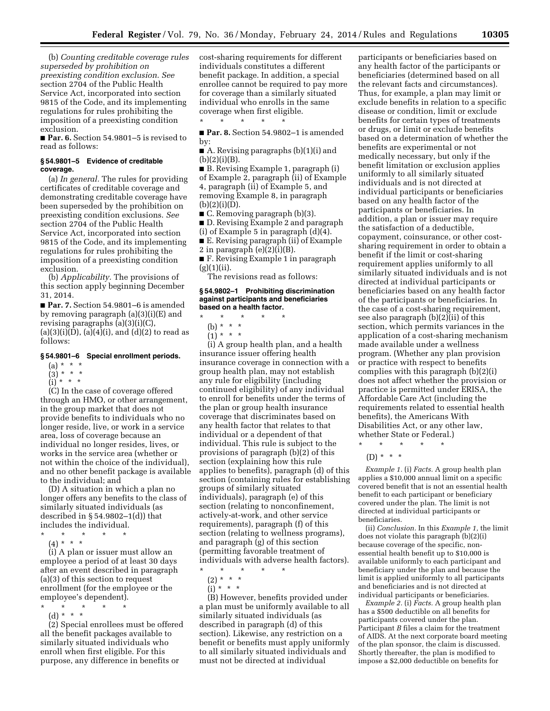(b) *Counting creditable coverage rules superseded by prohibition on preexisting condition exclusion*. *See*  section 2704 of the Public Health Service Act, incorporated into section 9815 of the Code, and its implementing regulations for rules prohibiting the imposition of a preexisting condition exclusion.

■ **Par. 6.** Section 54.9801–5 is revised to read as follows:

#### **§ 54.9801–5 Evidence of creditable coverage.**

(a) *In general.* The rules for providing certificates of creditable coverage and demonstrating creditable coverage have been superseded by the prohibition on preexisting condition exclusions. *See*  section 2704 of the Public Health Service Act, incorporated into section 9815 of the Code, and its implementing regulations for rules prohibiting the imposition of a preexisting condition exclusion.

(b) *Applicability.* The provisions of this section apply beginning December 31, 2014.

■ **Par. 7.** Section 54.9801–6 is amended by removing paragraph (a)(3)(i)(E) and revising paragraphs (a)(3)(i)(C),  $(a)(3)(i)(D), (a)(4)(i), and (d)(2)$  to read as follows:

#### **§ 54.9801–6 Special enrollment periods.**

- $(a) * * * *$
- $(3) * * * *$  $(i) * * * *$

(C) In the case of coverage offered through an HMO, or other arrangement, in the group market that does not provide benefits to individuals who no longer reside, live, or work in a service area, loss of coverage because an individual no longer resides, lives, or works in the service area (whether or not within the choice of the individual), and no other benefit package is available to the individual; and

(D) A situation in which a plan no longer offers any benefits to the class of similarly situated individuals (as described in § 54.9802–1(d)) that includes the individual.

- \* \* \* \* \*
- $(4) * * * *$

(i) A plan or issuer must allow an employee a period of at least 30 days after an event described in paragraph (a)(3) of this section to request enrollment (for the employee or the employee's dependent).

- \* \* \* \* \*
	- (d) \* \* \*

(2) Special enrollees must be offered all the benefit packages available to similarly situated individuals who enroll when first eligible. For this purpose, any difference in benefits or

cost-sharing requirements for different individuals constitutes a different benefit package. In addition, a special enrollee cannot be required to pay more for coverage than a similarly situated individual who enrolls in the same coverage when first eligible. \* \* \* \* \*

■ **Par. 8.** Section 54.9802-1 is amended by:

■ A. Revising paragraphs (b)(1)(i) and  $(b)(2)(i)(B).$ 

■ B. Revising Example 1, paragraph (i) of Example 2, paragraph (ii) of Example 4, paragraph (ii) of Example 5, and removing Example 8, in paragraph (b)(2)(i)(D).

■ C. Removing paragraph (b)(3).

- D. Revising Example 2 and paragraph
- (i) of Example 5 in paragraph (d)(4).

■ E. Revising paragraph (ii) of Example

2 in paragraph  $(e)(2)(i)(B)$ .

■ F. Revising Example 1 in paragraph  $(g)(1)(ii)$ .

The revisions read as follows:

#### **§ 54.9802–1 Prohibiting discrimination against participants and beneficiaries based on a health factor.**

- \* \* \* \* \*
- (b) \* \* \*
- $(1) * * * *$

(i) A group health plan, and a health insurance issuer offering health insurance coverage in connection with a group health plan, may not establish any rule for eligibility (including continued eligibility) of any individual to enroll for benefits under the terms of the plan or group health insurance coverage that discriminates based on any health factor that relates to that individual or a dependent of that individual. This rule is subject to the provisions of paragraph (b)(2) of this section (explaining how this rule applies to benefits), paragraph (d) of this section (containing rules for establishing groups of similarly situated individuals), paragraph (e) of this section (relating to nonconfinement, actively-at-work, and other service requirements), paragraph (f) of this section (relating to wellness programs), and paragraph (g) of this section (permitting favorable treatment of individuals with adverse health factors).

\* \* \* \* \*

- $(2) * * * *$
- $(i) * * * *$

(B) However, benefits provided under a plan must be uniformly available to all similarly situated individuals (as described in paragraph (d) of this section). Likewise, any restriction on a benefit or benefits must apply uniformly to all similarly situated individuals and must not be directed at individual

participants or beneficiaries based on any health factor of the participants or beneficiaries (determined based on all the relevant facts and circumstances). Thus, for example, a plan may limit or exclude benefits in relation to a specific disease or condition, limit or exclude benefits for certain types of treatments or drugs, or limit or exclude benefits based on a determination of whether the benefits are experimental or not medically necessary, but only if the benefit limitation or exclusion applies uniformly to all similarly situated individuals and is not directed at individual participants or beneficiaries based on any health factor of the participants or beneficiaries. In addition, a plan or issuer may require the satisfaction of a deductible, copayment, coinsurance, or other costsharing requirement in order to obtain a benefit if the limit or cost-sharing requirement applies uniformly to all similarly situated individuals and is not directed at individual participants or beneficiaries based on any health factor of the participants or beneficiaries. In the case of a cost-sharing requirement, see also paragraph (b)(2)(ii) of this section, which permits variances in the application of a cost-sharing mechanism made available under a wellness program. (Whether any plan provision or practice with respect to benefits complies with this paragraph (b)(2)(i) does not affect whether the provision or practice is permitted under ERISA, the Affordable Care Act (including the requirements related to essential health benefits), the Americans With Disabilities Act, or any other law, whether State or Federal.)

 $\star$   $\star$   $\star$ 

*Example 1.* (i) *Facts.* A group health plan applies a \$10,000 annual limit on a specific covered benefit that is not an essential health benefit to each participant or beneficiary covered under the plan. The limit is not directed at individual participants or beneficiaries.

(ii) *Conclusion.* In this *Example 1,* the limit does not violate this paragraph (b)(2)(i) because coverage of the specific, nonessential health benefit up to \$10,000 is available uniformly to each participant and beneficiary under the plan and because the limit is applied uniformly to all participants and beneficiaries and is not directed at individual participants or beneficiaries.

*Example 2.* (i) *Facts.* A group health plan has a \$500 deductible on all benefits for participants covered under the plan. Participant *B* files a claim for the treatment of AIDS. At the next corporate board meeting of the plan sponsor, the claim is discussed. Shortly thereafter, the plan is modified to impose a \$2,000 deductible on benefits for

<sup>(</sup>D) \* \* \*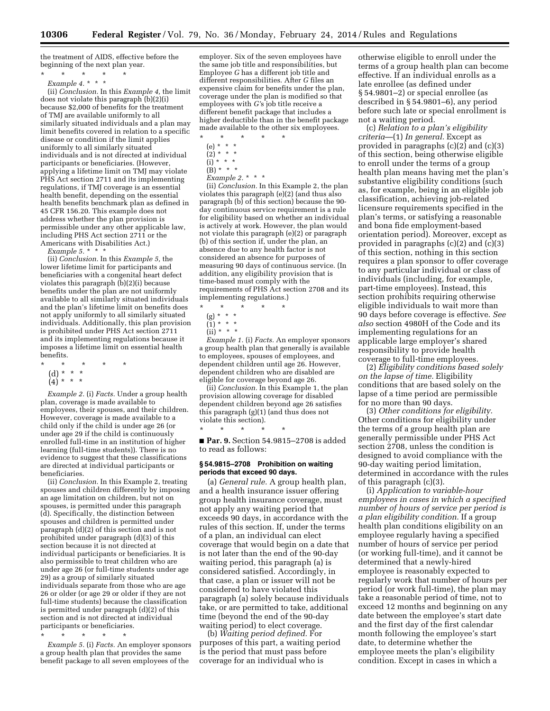the treatment of AIDS, effective before the beginning of the next plan year.

\* \* \* \* \* *Example 4.* \* \* \*

(ii) *Conclusion.* In this *Example 4,* the limit does not violate this paragraph (b)(2)(i) because \$2,000 of benefits for the treatment of TMJ are available uniformly to all similarly situated individuals and a plan may limit benefits covered in relation to a specific disease or condition if the limit applies uniformly to all similarly situated individuals and is not directed at individual participants or beneficiaries. (However, applying a lifetime limit on TMJ may violate PHS Act section 2711 and its implementing regulations, if TMJ coverage is an essential health benefit, depending on the essential health benefits benchmark plan as defined in 45 CFR 156.20. This example does not address whether the plan provision is permissible under any other applicable law, including PHS Act section 2711 or the Americans with Disabilities Act.)

*Example 5.* \* \* \*

(ii) *Conclusion.* In this *Example 5,* the lower lifetime limit for participants and beneficiaries with a congenital heart defect violates this paragraph (b)(2)(i) because benefits under the plan are not uniformly available to all similarly situated individuals and the plan's lifetime limit on benefits does not apply uniformly to all similarly situated individuals. Additionally, this plan provision is prohibited under PHS Act section 2711 and its implementing regulations because it imposes a lifetime limit on essential health benefits.

- \* \* \* \* \*
- (d) \* \* \*
- (4) \* \* \*

*Example 2.* (i) *Facts.* Under a group health plan, coverage is made available to employees, their spouses, and their children. However, coverage is made available to a child only if the child is under age 26 (or under age 29 if the child is continuously enrolled full-time in an institution of higher learning (full-time students)). There is no evidence to suggest that these classifications are directed at individual participants or beneficiaries.

(ii) *Conclusion.* In this Example 2, treating spouses and children differently by imposing an age limitation on children, but not on spouses, is permitted under this paragraph (d). Specifically, the distinction between spouses and children is permitted under paragraph (d)(2) of this section and is not prohibited under paragraph (d)(3) of this section because it is not directed at individual participants or beneficiaries. It is also permissible to treat children who are under age 26 (or full-time students under age 29) as a group of similarly situated individuals separate from those who are age 26 or older (or age 29 or older if they are not full-time students) because the classification is permitted under paragraph (d)(2) of this section and is not directed at individual participants or beneficiaries.

\* \* \* \* \*

*Example 5.* (i) *Facts.* An employer sponsors a group health plan that provides the same benefit package to all seven employees of the

employer. Six of the seven employees have the same job title and responsibilities, but Employee *G* has a different job title and different responsibilities. After *G* files an expensive claim for benefits under the plan, coverage under the plan is modified so that employees with *G'*s job title receive a different benefit package that includes a higher deductible than in the benefit package made available to the other six employees.

- \* \* \* \* \*
- (e) \* \* \*  $(2) * * * *$
- $(i) * * * *$
- $(B) * * * *$
- *Example 2.* \* \* \*

(ii) *Conclusion.* In this Example 2, the plan violates this paragraph (e)(2) (and thus also paragraph (b) of this section) because the 90 day continuous service requirement is a rule for eligibility based on whether an individual is actively at work. However, the plan would not violate this paragraph (e)(2) or paragraph (b) of this section if, under the plan, an absence due to any health factor is not considered an absence for purposes of measuring 90 days of continuous service. (In addition, any eligibility provision that is time-based must comply with the requirements of PHS Act section 2708 and its implementing regulations.)<br> $*$  \* \* \* \* \*

- \* \* \* \* \*
	- (g) \* \* \*
- $(1) * * * *$
- $(ii) * * * *$

*Example 1.* (i) *Facts.* An employer sponsors a group health plan that generally is available to employees, spouses of employees, and dependent children until age 26. However, dependent children who are disabled are eligible for coverage beyond age 26.

(ii) *Conclusion.* In this Example 1, the plan provision allowing coverage for disabled dependent children beyond age 26 satisfies this paragraph (g)(1) (and thus does not violate this section).

\* \* \* \* \*

■ **Par. 9.** Section 54.9815-2708 is added to read as follows:

#### **§ 54.9815–2708 Prohibition on waiting periods that exceed 90 days.**

(a) *General rule.* A group health plan, and a health insurance issuer offering group health insurance coverage, must not apply any waiting period that exceeds 90 days, in accordance with the rules of this section. If, under the terms of a plan, an individual can elect coverage that would begin on a date that is not later than the end of the 90-day waiting period, this paragraph (a) is considered satisfied. Accordingly, in that case, a plan or issuer will not be considered to have violated this paragraph (a) solely because individuals take, or are permitted to take, additional time (beyond the end of the 90-day waiting period) to elect coverage.

(b) *Waiting period defined.* For purposes of this part, a waiting period is the period that must pass before coverage for an individual who is

otherwise eligible to enroll under the terms of a group health plan can become effective. If an individual enrolls as a late enrollee (as defined under § 54.9801–2) or special enrollee (as described in § 54.9801–6), any period before such late or special enrollment is not a waiting period.

(c) *Relation to a plan's eligibility criteria*—(1) *In general.* Except as provided in paragraphs (c)(2) and (c)(3) of this section, being otherwise eligible to enroll under the terms of a group health plan means having met the plan's substantive eligibility conditions (such as, for example, being in an eligible job classification, achieving job-related licensure requirements specified in the plan's terms, or satisfying a reasonable and bona fide employment-based orientation period). Moreover, except as provided in paragraphs (c)(2) and (c)(3) of this section, nothing in this section requires a plan sponsor to offer coverage to any particular individual or class of individuals (including, for example, part-time employees). Instead, this section prohibits requiring otherwise eligible individuals to wait more than 90 days before coverage is effective. *See also* section 4980H of the Code and its implementing regulations for an applicable large employer's shared responsibility to provide health coverage to full-time employees.

(2) *Eligibility conditions based solely on the lapse of time.* Eligibility conditions that are based solely on the lapse of a time period are permissible for no more than 90 days.

(3) *Other conditions for eligibility.*  Other conditions for eligibility under the terms of a group health plan are generally permissible under PHS Act section 2708, unless the condition is designed to avoid compliance with the 90-day waiting period limitation, determined in accordance with the rules of this paragraph (c)(3).

(i) *Application to variable-hour employees in cases in which a specified number of hours of service per period is a plan eligibility condition.* If a group health plan conditions eligibility on an employee regularly having a specified number of hours of service per period (or working full-time), and it cannot be determined that a newly-hired employee is reasonably expected to regularly work that number of hours per period (or work full-time), the plan may take a reasonable period of time, not to exceed 12 months and beginning on any date between the employee's start date and the first day of the first calendar month following the employee's start date, to determine whether the employee meets the plan's eligibility condition. Except in cases in which a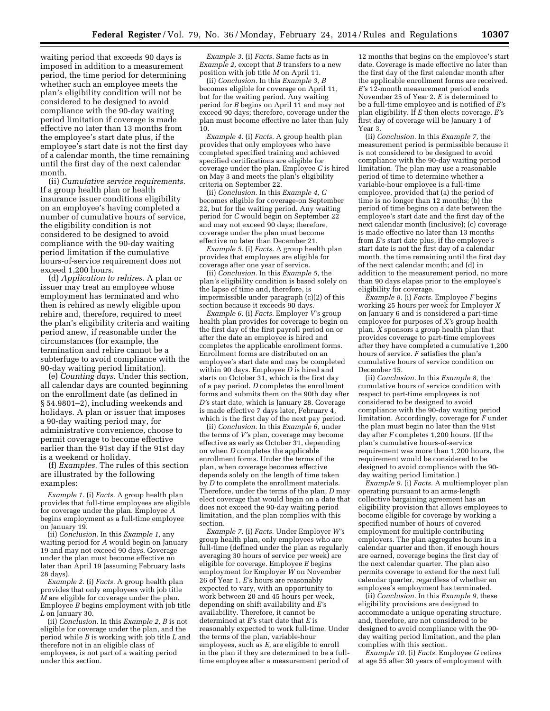waiting period that exceeds 90 days is imposed in addition to a measurement period, the time period for determining whether such an employee meets the plan's eligibility condition will not be considered to be designed to avoid compliance with the 90-day waiting period limitation if coverage is made effective no later than 13 months from the employee's start date plus, if the employee's start date is not the first day of a calendar month, the time remaining until the first day of the next calendar month.

(ii) *Cumulative service requirements.*  If a group health plan or health insurance issuer conditions eligibility on an employee's having completed a number of cumulative hours of service, the eligibility condition is not considered to be designed to avoid compliance with the 90-day waiting period limitation if the cumulative hours-of-service requirement does not exceed 1,200 hours.

(d) *Application to rehires.* A plan or issuer may treat an employee whose employment has terminated and who then is rehired as newly eligible upon rehire and, therefore, required to meet the plan's eligibility criteria and waiting period anew, if reasonable under the circumstances (for example, the termination and rehire cannot be a subterfuge to avoid compliance with the 90-day waiting period limitation).

(e) *Counting days.* Under this section, all calendar days are counted beginning on the enrollment date (as defined in § 54.9801–2), including weekends and holidays. A plan or issuer that imposes a 90-day waiting period may, for administrative convenience, choose to permit coverage to become effective earlier than the 91st day if the 91st day is a weekend or holiday.

(f) *Examples.* The rules of this section are illustrated by the following examples:

*Example 1.* (i) *Facts.* A group health plan provides that full-time employees are eligible for coverage under the plan. Employee *A*  begins employment as a full-time employee on January 19.

(ii) *Conclusion.* In this *Example 1,* any waiting period for *A* would begin on January 19 and may not exceed 90 days. Coverage under the plan must become effective no later than April 19 (assuming February lasts 28 days).

*Example 2.* (i) *Facts.* A group health plan provides that only employees with job title *M* are eligible for coverage under the plan. Employee *B* begins employment with job title *L* on January 30.

(ii) *Conclusion.* In this *Example 2, B* is not eligible for coverage under the plan, and the period while *B* is working with job title *L* and therefore not in an eligible class of employees, is not part of a waiting period under this section.

*Example 3.* (i) *Facts.* Same facts as in *Example 2,* except that *B* transfers to a new position with job title *M* on April 11.

(ii) *Conclusion.* In this *Example 3, B*  becomes eligible for coverage on April 11, but for the waiting period. Any waiting period for *B* begins on April 11 and may not exceed 90 days; therefore, coverage under the plan must become effective no later than July 10.

*Example 4.* (i) *Facts.* A group health plan provides that only employees who have completed specified training and achieved specified certifications are eligible for coverage under the plan. Employee *C* is hired on May 3 and meets the plan's eligibility criteria on September 22.

(ii) *Conclusion.* In this *Example 4, C*  becomes eligible for coverage-on September 22, but for the waiting period. Any waiting period for *C* would begin on September 22 and may not exceed 90 days; therefore, coverage under the plan must become effective no later than December 21.

*Example 5.* (i) *Facts.* A group health plan provides that employees are eligible for coverage after one year of service.

(ii) *Conclusion.* In this *Example 5,* the plan's eligibility condition is based solely on the lapse of time and, therefore, is impermissible under paragraph (c)(2) of this section because it exceeds 90 days.

*Example 6.* (i) *Facts.* Employer *V'*s group health plan provides for coverage to begin on the first day of the first payroll period on or after the date an employee is hired and completes the applicable enrollment forms. Enrollment forms are distributed on an employee's start date and may be completed within 90 days. Employee *D* is hired and starts on October 31, which is the first day of a pay period. *D* completes the enrollment forms and submits them on the 90th day after *D'*s start date, which is January 28. Coverage is made effective 7 days later, February 4, which is the first day of the next pay period.

(ii) *Conclusion.* In this *Example 6,* under the terms of *V'*s plan, coverage may become effective as early as October 31, depending on when *D* completes the applicable enrollment forms. Under the terms of the plan, when coverage becomes effective depends solely on the length of time taken by *D* to complete the enrollment materials. Therefore, under the terms of the plan, *D* may elect coverage that would begin on a date that does not exceed the 90-day waiting period limitation, and the plan complies with this section.

*Example 7.* (i) *Facts.* Under Employer *W'*s group health plan, only employees who are full-time (defined under the plan as regularly averaging 30 hours of service per week) are eligible for coverage. Employee *E* begins employment for Employer *W* on November 26 of Year 1. *E'*s hours are reasonably expected to vary, with an opportunity to work between 20 and 45 hours per week, depending on shift availability and *E'*s availability. Therefore, it cannot be determined at *E'*s start date that *E* is reasonably expected to work full-time. Under the terms of the plan, variable-hour employees, such as *E,* are eligible to enroll in the plan if they are determined to be a fulltime employee after a measurement period of

12 months that begins on the employee's start date. Coverage is made effective no later than the first day of the first calendar month after the applicable enrollment forms are received. *E'*s 12-month measurement period ends November 25 of Year 2. *E* is determined to be a full-time employee and is notified of *E'*s plan eligibility. If *E* then elects coverage, *E'*s first day of coverage will be January 1 of Year 3.

(ii) *Conclusion.* In this *Example 7,* the measurement period is permissible because it is not considered to be designed to avoid compliance with the 90-day waiting period limitation. The plan may use a reasonable period of time to determine whether a variable-hour employee is a full-time employee, provided that (a) the period of time is no longer than 12 months; (b) the period of time begins on a date between the employee's start date and the first day of the next calendar month (inclusive); (c) coverage is made effective no later than 13 months from *E'*s start date plus, if the employee's start date is not the first day of a calendar month, the time remaining until the first day of the next calendar month; and (d) in addition to the measurement period, no more than 90 days elapse prior to the employee's eligibility for coverage.

*Example 8.* (i) *Facts.* Employee *F* begins working 25 hours per week for Employer *X*  on January 6 and is considered a part-time employee for purposes of *X'*s group health plan. *X* sponsors a group health plan that provides coverage to part-time employees after they have completed a cumulative 1,200 hours of service. *F* satisfies the plan's cumulative hours of service condition on December 15.

(ii) *Conclusion.* In this *Example 8,* the cumulative hours of service condition with respect to part-time employees is not considered to be designed to avoid compliance with the 90-day waiting period limitation. Accordingly, coverage for *F* under the plan must begin no later than the 91st day after *F* completes 1,200 hours. (If the plan's cumulative hours-of-service requirement was more than 1,200 hours, the requirement would be considered to be designed to avoid compliance with the 90 day waiting period limitation.)

*Example 9.* (i) *Facts.* A multiemployer plan operating pursuant to an arms-length collective bargaining agreement has an eligibility provision that allows employees to become eligible for coverage by working a specified number of hours of covered employment for multiple contributing employers. The plan aggregates hours in a calendar quarter and then, if enough hours are earned, coverage begins the first day of the next calendar quarter. The plan also permits coverage to extend for the next full calendar quarter, regardless of whether an employee's employment has terminated.

(ii) *Conclusion.* In this *Example 9,* these eligibility provisions are designed to accommodate a unique operating structure, and, therefore, are not considered to be designed to avoid compliance with the 90 day waiting period limitation, and the plan complies with this section.

*Example 10.* (i) *Facts.* Employee *G* retires at age 55 after 30 years of employment with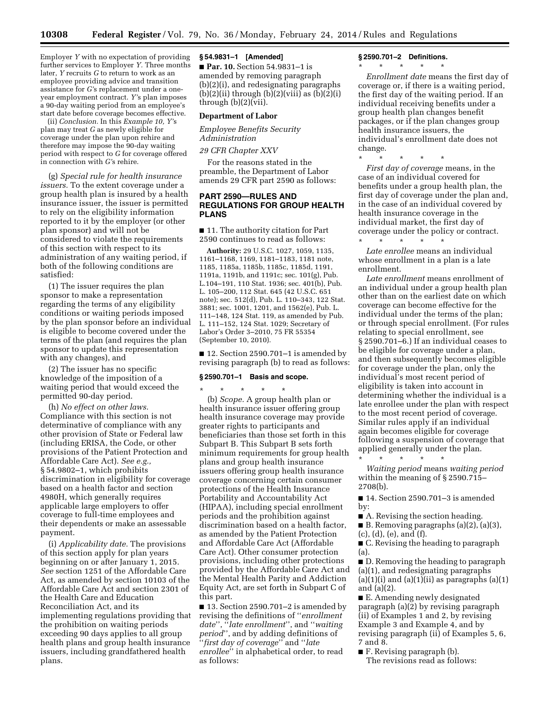Employer *Y* with no expectation of providing further services to Employer *Y.* Three months later, *Y* recruits *G* to return to work as an employee providing advice and transition assistance for *G'*s replacement under a oneyear employment contract. *Y'*s plan imposes a 90-day waiting period from an employee's start date before coverage becomes effective.

(ii) *Conclusion.* In this *Example 10, Y'*s plan may treat *G* as newly eligible for coverage under the plan upon rehire and therefore may impose the 90-day waiting period with respect to *G* for coverage offered in connection with *G'*s rehire.

(g) *Special rule for health insurance issuers.* To the extent coverage under a group health plan is insured by a health insurance issuer, the issuer is permitted to rely on the eligibility information reported to it by the employer (or other plan sponsor) and will not be considered to violate the requirements of this section with respect to its administration of any waiting period, if both of the following conditions are satisfied:

(1) The issuer requires the plan sponsor to make a representation regarding the terms of any eligibility conditions or waiting periods imposed by the plan sponsor before an individual is eligible to become covered under the terms of the plan (and requires the plan sponsor to update this representation with any changes), and

(2) The issuer has no specific knowledge of the imposition of a waiting period that would exceed the permitted 90-day period.

(h) *No effect on other laws.*  Compliance with this section is not determinative of compliance with any other provision of State or Federal law (including ERISA, the Code, or other provisions of the Patient Protection and Affordable Care Act). *See e.g.,*  § 54.9802–1, which prohibits discrimination in eligibility for coverage based on a health factor and section 4980H, which generally requires applicable large employers to offer coverage to full-time employees and their dependents or make an assessable payment.

(i) *Applicability date.* The provisions of this section apply for plan years beginning on or after January 1, 2015. *See* section 1251 of the Affordable Care Act, as amended by section 10103 of the Affordable Care Act and section 2301 of the Health Care and Education Reconciliation Act, and its implementing regulations providing that the prohibition on waiting periods exceeding 90 days applies to all group health plans and group health insurance issuers, including grandfathered health plans.

#### **§ 54.9831–1 [Amended]**

■ **Par. 10.** Section 54.9831–1 is amended by removing paragraph (b)(2)(i), and redesignating paragraphs (b)(2)(ii) through (b)(2)(viii) as  $(b)(2)(i)$ through (b)(2)(vii).

#### **Department of Labor**

*Employee Benefits Security Administration* 

#### *29 CFR Chapter XXV*

For the reasons stated in the preamble, the Department of Labor amends 29 CFR part 2590 as follows:

#### **PART 2590—RULES AND REGULATIONS FOR GROUP HEALTH PLANS**

■ 11. The authority citation for Part 2590 continues to read as follows:

**Authority:** 29 U.S.C. 1027, 1059, 1135, 1161–1168, 1169, 1181–1183, 1181 note, 1185, 1185a, 1185b, 1185c, 1185d, 1191, 1191a, 1191b, and 1191c; sec. 101(g), Pub. L.104–191, 110 Stat. 1936; sec. 401(b), Pub. L. 105–200, 112 Stat. 645 (42 U.S.C. 651 note); sec. 512(d), Pub. L. 110–343, 122 Stat. 3881; sec. 1001, 1201, and 1562(e), Pub. L. 111–148, 124 Stat. 119, as amended by Pub. L. 111–152, 124 Stat. 1029; Secretary of Labor's Order 3–2010, 75 FR 55354 (September 10, 2010).

■ 12. Section 2590.701–1 is amended by revising paragraph (b) to read as follows:

#### **§ 2590.701–1 Basis and scope.**

\* \* \* \* \* (b) *Scope.* A group health plan or health insurance issuer offering group health insurance coverage may provide greater rights to participants and beneficiaries than those set forth in this Subpart B. This Subpart B sets forth minimum requirements for group health plans and group health insurance issuers offering group health insurance coverage concerning certain consumer protections of the Health Insurance Portability and Accountability Act (HIPAA), including special enrollment periods and the prohibition against discrimination based on a health factor, as amended by the Patient Protection and Affordable Care Act (Affordable Care Act). Other consumer protection provisions, including other protections provided by the Affordable Care Act and the Mental Health Parity and Addiction Equity Act, are set forth in Subpart C of this part.

■ 13. Section 2590.701–2 is amended by revising the definitions of ''*enrollment date*'', ''*late enrollment*'', and ''*waiting period*'', and by adding definitions of ''*first day of coverage*'' and ''*late enrollee*'' in alphabetical order, to read as follows:

#### **§ 2590.701–2 Definitions.**

\* \* \* \* \*

*Enrollment date* means the first day of coverage or, if there is a waiting period, the first day of the waiting period. If an individual receiving benefits under a group health plan changes benefit packages, or if the plan changes group health insurance issuers, the individual's enrollment date does not change.

\* \* \* \* \* *First day of coverage* means, in the case of an individual covered for benefits under a group health plan, the first day of coverage under the plan and, in the case of an individual covered by health insurance coverage in the individual market, the first day of coverage under the policy or contract. \* \* \* \* \*

*Late enrollee* means an individual whose enrollment in a plan is a late enrollment.

*Late enrollment* means enrollment of an individual under a group health plan other than on the earliest date on which coverage can become effective for the individual under the terms of the plan; or through special enrollment. (For rules relating to special enrollment, see § 2590.701–6.) If an individual ceases to be eligible for coverage under a plan, and then subsequently becomes eligible for coverage under the plan, only the individual's most recent period of eligibility is taken into account in determining whether the individual is a late enrollee under the plan with respect to the most recent period of coverage. Similar rules apply if an individual again becomes eligible for coverage following a suspension of coverage that applied generally under the plan. \* \* \* \* \*

*Waiting period* means *waiting period*  within the meaning of § 2590.715– 2708(b).

■ 14. Section 2590.701–3 is amended by:

■ A. Revising the section heading.

■ B. Removing paragraphs  $(a)(2)$ ,  $(a)(3)$ , (c), (d), (e), and (f).

■ C. Revising the heading to paragraph (a).

■ D. Removing the heading to paragraph (a)(1), and redesignating paragraphs  $(a)(1)(i)$  and  $(a)(1)(ii)$  as paragraphs  $(a)(1)$ and (a)(2).

■ E. Amending newly designated paragraph (a)(2) by revising paragraph (ii) of Examples 1 and 2, by revising Example 3 and Example 4, and by revising paragraph (ii) of Examples 5, 6, 7 and 8.

■ F. Revising paragraph (b). The revisions read as follows: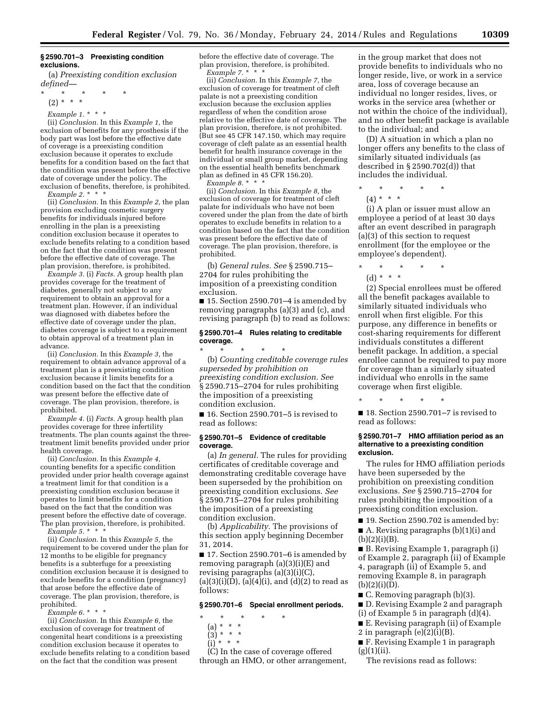#### **§ 2590.701–3 Preexisting condition exclusions.**

(a) *Preexisting condition exclusion defined—* 

\* \* \* \* \* (2) \* \* \*

#### *Example 1.* \* \* \*

(ii) *Conclusion.* In this *Example 1,* the exclusion of benefits for any prosthesis if the body part was lost before the effective date of coverage is a preexisting condition exclusion because it operates to exclude benefits for a condition based on the fact that the condition was present before the effective date of coverage under the policy. The exclusion of benefits, therefore, is prohibited. *Example 2.* \* \* \*

(ii) *Conclusion.* In this *Example 2,* the plan provision excluding cosmetic surgery benefits for individuals injured before enrolling in the plan is a preexisting condition exclusion because it operates to exclude benefits relating to a condition based on the fact that the condition was present before the effective date of coverage. The plan provision, therefore, is prohibited.

*Example 3.* (i) *Facts.* A group health plan provides coverage for the treatment of diabetes, generally not subject to any requirement to obtain an approval for a treatment plan. However, if an individual was diagnosed with diabetes before the effective date of coverage under the plan, diabetes coverage is subject to a requirement to obtain approval of a treatment plan in advance.

(ii) *Conclusion.* In this *Example 3,* the requirement to obtain advance approval of a treatment plan is a preexisting condition exclusion because it limits benefits for a condition based on the fact that the condition was present before the effective date of coverage. The plan provision, therefore, is prohibited.

*Example 4.* (i) *Facts.* A group health plan provides coverage for three infertility treatments. The plan counts against the threetreatment limit benefits provided under prior health coverage.

(ii) *Conclusion.* In this *Example 4,*  counting benefits for a specific condition provided under prior health coverage against a treatment limit for that condition is a preexisting condition exclusion because it operates to limit benefits for a condition based on the fact that the condition was present before the effective date of coverage. The plan provision, therefore, is prohibited.

*Example 5.* \* \* \*

(ii) *Conclusion.* In this *Example 5,* the requirement to be covered under the plan for 12 months to be eligible for pregnancy benefits is a subterfuge for a preexisting condition exclusion because it is designed to exclude benefits for a condition (pregnancy) that arose before the effective date of coverage. The plan provision, therefore, is prohibited.

*Example 6.* \* \* \*

(ii) *Conclusion.* In this *Example 6,* the exclusion of coverage for treatment of congenital heart conditions is a preexisting condition exclusion because it operates to exclude benefits relating to a condition based on the fact that the condition was present

before the effective date of coverage. The plan provision, therefore, is prohibited. *Example 7.* \* \* \*

(ii) *Conclusion.* In this *Example 7,* the exclusion of coverage for treatment of cleft palate is not a preexisting condition exclusion because the exclusion applies regardless of when the condition arose relative to the effective date of coverage. The plan provision, therefore, is not prohibited. (But see 45 CFR 147.150, which may require coverage of cleft palate as an essential health benefit for health insurance coverage in the individual or small group market, depending on the essential health benefits benchmark plan as defined in 45 CFR 156.20).

(ii) *Conclusion.* In this *Example 8,* the exclusion of coverage for treatment of cleft palate for individuals who have not been covered under the plan from the date of birth operates to exclude benefits in relation to a condition based on the fact that the condition was present before the effective date of coverage. The plan provision, therefore, is prohibited.

(b) *General rules. See* § 2590.715– 2704 for rules prohibiting the imposition of a preexisting condition exclusion.

 $\blacksquare$  15. Section 2590.701–4 is amended by removing paragraphs (a)(3) and (c), and revising paragraph (b) to read as follows:

#### **§ 2590.701–4 Rules relating to creditable coverage.**

\* \* \* \* \* (b) *Counting creditable coverage rules superseded by prohibition on preexisting condition exclusion. See*  § 2590.715–2704 for rules prohibiting the imposition of a preexisting condition exclusion.

■ 16. Section 2590.701–5 is revised to read as follows:

#### **§ 2590.701–5 Evidence of creditable coverage.**

(a) *In general.* The rules for providing certificates of creditable coverage and demonstrating creditable coverage have been superseded by the prohibition on preexisting condition exclusions. *See*  § 2590.715–2704 for rules prohibiting the imposition of a preexisting condition exclusion.

(b) *Applicability.* The provisions of this section apply beginning December 31, 2014.

■ 17. Section 2590.701–6 is amended by removing paragraph (a)(3)(i)(E) and revising paragraphs (a)(3)(i)(C),  $(a)(3)(i)(D), (a)(4)(i), and (d)(2)$  to read as follows:

#### **§ 2590.701–6 Special enrollment periods.**

- \* \* \* \* \*
	- (a) \* \* \*
	- (3) \* \* \*  $(i)$  \* \* \*
	-

(C) In the case of coverage offered through an HMO, or other arrangement, in the group market that does not provide benefits to individuals who no longer reside, live, or work in a service area, loss of coverage because an individual no longer resides, lives, or works in the service area (whether or not within the choice of the individual), and no other benefit package is available to the individual; and

(D) A situation in which a plan no longer offers any benefits to the class of similarly situated individuals (as described in § 2590.702(d)) that includes the individual.

\* \* \* \* \*  $(4) * * * *$ 

(i) A plan or issuer must allow an employee a period of at least 30 days after an event described in paragraph (a)(3) of this section to request enrollment (for the employee or the employee's dependent).

\* \* \* \* \* (d) \* \* \*

(2) Special enrollees must be offered all the benefit packages available to similarly situated individuals who enroll when first eligible. For this purpose, any difference in benefits or cost-sharing requirements for different individuals constitutes a different benefit package. In addition, a special enrollee cannot be required to pay more for coverage than a similarly situated individual who enrolls in the same coverage when first eligible.

\* \* \* \* \*

■ 18. Section 2590.701–7 is revised to read as follows:

#### **§ 2590.701–7 HMO affiliation period as an alternative to a preexisting condition exclusion.**

The rules for HMO affiliation periods have been superseded by the prohibition on preexisting condition exclusions. *See* § 2590.715–2704 for rules prohibiting the imposition of a preexisting condition exclusion.

■ 19. Section 2590.702 is amended by: ■ A. Revising paragraphs (b)(1)(i) and  $(b)(2)(i)(B).$ 

■ B. Revising Example 1, paragraph (i) of Example 2, paragraph (ii) of Example 4, paragraph (ii) of Example 5, and removing Example 8, in paragraph  $(b)(2)(i)(D).$ 

■ C. Removing paragraph (b)(3).

■ D. Revising Example 2 and paragraph (i) of Example 5 in paragraph (d)(4).

■ E. Revising paragraph (ii) of Example

2 in paragraph  $(e)(2)(i)(B)$ .

■ F. Revising Example 1 in paragraph  $(g)(1)(ii)$ .

The revisions read as follows:

*Example 8.* \* \* \*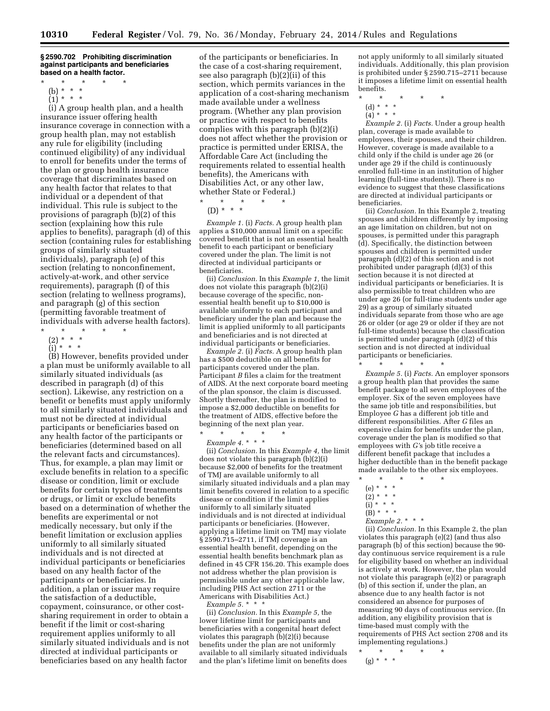#### **§ 2590.702 Prohibiting discrimination against participants and beneficiaries based on a health factor.**

- $\star$   $\qquad$   $\star$   $\qquad$   $\star$ (b) \* \* \* \*
- $(1) * * * *$

(i) A group health plan, and a health insurance issuer offering health insurance coverage in connection with a group health plan, may not establish any rule for eligibility (including continued eligibility) of any individual to enroll for benefits under the terms of the plan or group health insurance coverage that discriminates based on any health factor that relates to that individual or a dependent of that individual. This rule is subject to the provisions of paragraph (b)(2) of this section (explaining how this rule applies to benefits), paragraph (d) of this section (containing rules for establishing groups of similarly situated individuals), paragraph (e) of this section (relating to nonconfinement, actively-at-work, and other service requirements), paragraph (f) of this section (relating to wellness programs), and paragraph (g) of this section (permitting favorable treatment of individuals with adverse health factors).

- \* \* \* \* \*
- (2) \* \* \*
- (i) \* \* \*

(B) However, benefits provided under a plan must be uniformly available to all similarly situated individuals (as described in paragraph (d) of this section). Likewise, any restriction on a benefit or benefits must apply uniformly to all similarly situated individuals and must not be directed at individual participants or beneficiaries based on any health factor of the participants or beneficiaries (determined based on all the relevant facts and circumstances). Thus, for example, a plan may limit or exclude benefits in relation to a specific disease or condition, limit or exclude benefits for certain types of treatments or drugs, or limit or exclude benefits based on a determination of whether the benefits are experimental or not medically necessary, but only if the benefit limitation or exclusion applies uniformly to all similarly situated individuals and is not directed at individual participants or beneficiaries based on any health factor of the participants or beneficiaries. In addition, a plan or issuer may require the satisfaction of a deductible, copayment, coinsurance, or other costsharing requirement in order to obtain a benefit if the limit or cost-sharing requirement applies uniformly to all similarly situated individuals and is not directed at individual participants or beneficiaries based on any health factor

of the participants or beneficiaries. In the case of a cost-sharing requirement, see also paragraph (b)(2)(ii) of this section, which permits variances in the application of a cost-sharing mechanism made available under a wellness program. (Whether any plan provision or practice with respect to benefits complies with this paragraph (b)(2)(i) does not affect whether the provision or practice is permitted under ERISA, the Affordable Care Act (including the requirements related to essential health benefits), the Americans with Disabilities Act, or any other law, whether State or Federal.)

- \* \* \* \* \*
- (D) \* \* \*

*Example 1.* (i) *Facts.* A group health plan applies a \$10,000 annual limit on a specific covered benefit that is not an essential health benefit to each participant or beneficiary covered under the plan. The limit is not directed at individual participants or beneficiaries.

(ii) *Conclusion.* In this *Example 1,* the limit does not violate this paragraph (b)(2)(i) because coverage of the specific, nonessential health benefit up to \$10,000 is available uniformly to each participant and beneficiary under the plan and because the limit is applied uniformly to all participants and beneficiaries and is not directed at individual participants or beneficiaries.

*Example 2.* (i) *Facts.* A group health plan has a \$500 deductible on all benefits for participants covered under the plan. Participant *B* files a claim for the treatment of AIDS. At the next corporate board meeting of the plan sponsor, the claim is discussed. Shortly thereafter, the plan is modified to impose a \$2,000 deductible on benefits for the treatment of AIDS, effective before the beginning of the next plan year.

\* \* \* \* \*

*Example 4.* \* \* \* (ii) *Conclusion.* In this *Example 4,* the limit does not violate this paragraph (b)(2)(i) because \$2,000 of benefits for the treatment of TMJ are available uniformly to all similarly situated individuals and a plan may limit benefits covered in relation to a specific disease or condition if the limit applies uniformly to all similarly situated individuals and is not directed at individual participants or beneficiaries. (However, applying a lifetime limit on TMJ may violate § 2590.715–2711, if TMJ coverage is an essential health benefit, depending on the essential health benefits benchmark plan as defined in 45 CFR 156.20. This example does not address whether the plan provision is permissible under any other applicable law, including PHS Act section 2711 or the Americans with Disabilities Act.) *Example 5.* \* \* \*

(ii) *Conclusion.* In this *Example 5,* the lower lifetime limit for participants and beneficiaries with a congenital heart defect violates this paragraph  $(b)(2)(i)$  because benefits under the plan are not uniformly available to all similarly situated individuals and the plan's lifetime limit on benefits does

not apply uniformly to all similarly situated individuals. Additionally, this plan provision is prohibited under § 2590.715–2711 because it imposes a lifetime limit on essential health benefits.<br> $*$ 

- \* \* \* \* \*
	- (d) \* \* \*
- $(4)^{\ast}$  \* \*

*Example 2.* (i) *Facts.* Under a group health plan, coverage is made available to employees, their spouses, and their children. However, coverage is made available to a child only if the child is under age 26 (or under age 29 if the child is continuously enrolled full-time in an institution of higher learning (full-time students)). There is no evidence to suggest that these classifications are directed at individual participants or beneficiaries.

(ii) *Conclusion.* In this Example 2, treating spouses and children differently by imposing an age limitation on children, but not on spouses, is permitted under this paragraph (d). Specifically, the distinction between spouses and children is permitted under paragraph (d)(2) of this section and is not prohibited under paragraph (d)(3) of this section because it is not directed at individual participants or beneficiaries. It is also permissible to treat children who are under age 26 (or full-time students under age 29) as a group of similarly situated individuals separate from those who are age 26 or older (or age 29 or older if they are not full-time students) because the classification is permitted under paragraph (d)(2) of this section and is not directed at individual participants or beneficiaries. \* \* \* \* \*

*Example 5.* (i) *Facts.* An employer sponsors a group health plan that provides the same benefit package to all seven employees of the employer. Six of the seven employees have the same job title and responsibilities, but Employee *G* has a different job title and different responsibilities. After *G* files an expensive claim for benefits under the plan, coverage under the plan is modified so that employees with *G'*s job title receive a different benefit package that includes a higher deductible than in the benefit package made available to the other six employees.

- \* \* \* \* \*
- (e) \* \* \*  $(2) * * * *$
- $(i) * * * *$

 $(B) * * * *$ 

*Example 2.* \* \* \*

(ii) *Conclusion.* In this Example 2, the plan violates this paragraph (e)(2) (and thus also paragraph (b) of this section) because the 90 day continuous service requirement is a rule for eligibility based on whether an individual is actively at work. However, the plan would not violate this paragraph (e)(2) or paragraph (b) of this section if, under the plan, an absence due to any health factor is not considered an absence for purposes of measuring 90 days of continuous service. (In addition, any eligibility provision that is time-based must comply with the requirements of PHS Act section 2708 and its implementing regulations.)

<sup>\* \* \* \* \*</sup>  (g) \* \* \*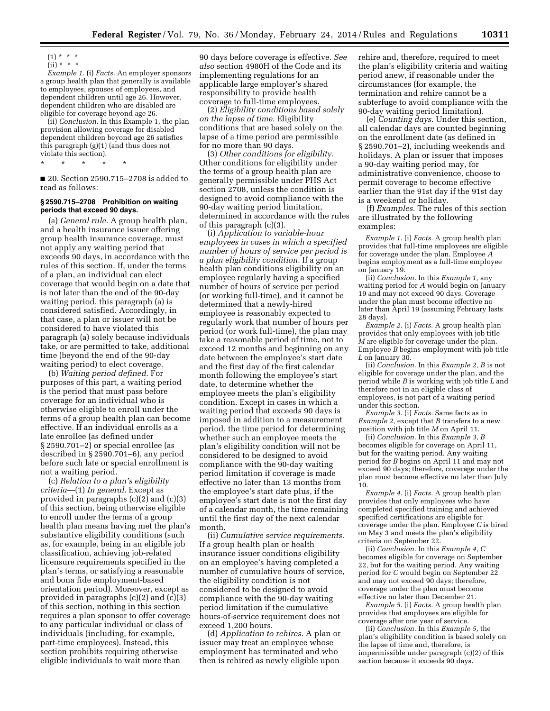$(1) * * * *$ 

 $(ii) * * * *$ 

*Example 1.* (i) *Facts.* An employer sponsors a group health plan that generally is available to employees, spouses of employees, and dependent children until age 26. However, dependent children who are disabled are eligible for coverage beyond age 26.

(ii) *Conclusion.* In this Example 1, the plan provision allowing coverage for disabled dependent children beyond age 26 satisfies this paragraph (g)(1) (and thus does not violate this section).

\* \* \* \* \*

■ 20. Section 2590.715-2708 is added to read as follows:

#### **§ 2590.715–2708 Prohibition on waiting periods that exceed 90 days.**

(a) *General rule.* A group health plan, and a health insurance issuer offering group health insurance coverage, must not apply any waiting period that exceeds 90 days, in accordance with the rules of this section. If, under the terms of a plan, an individual can elect coverage that would begin on a date that is not later than the end of the 90-day waiting period, this paragraph (a) is considered satisfied. Accordingly, in that case, a plan or issuer will not be considered to have violated this paragraph (a) solely because individuals take, or are permitted to take, additional time (beyond the end of the 90-day waiting period) to elect coverage.

(b) *Waiting period defined.* For purposes of this part, a waiting period is the period that must pass before coverage for an individual who is otherwise eligible to enroll under the terms of a group health plan can become effective. If an individual enrolls as a late enrollee (as defined under § 2590.701–2) or special enrollee (as described in § 2590.701–6), any period before such late or special enrollment is not a waiting period.

(c) *Relation to a plan's eligibility criteria*—(1) *In general.* Except as provided in paragraphs (c)(2) and (c)(3) of this section, being otherwise eligible to enroll under the terms of a group health plan means having met the plan's substantive eligibility conditions (such as, for example, being in an eligible job classification, achieving job-related licensure requirements specified in the plan's terms, or satisfying a reasonable and bona fide employment-based orientation period). Moreover, except as provided in paragraphs (c)(2) and (c)(3) of this section, nothing in this section requires a plan sponsor to offer coverage to any particular individual or class of individuals (including, for example, part-time employees). Instead, this section prohibits requiring otherwise eligible individuals to wait more than

90 days before coverage is effective. *See also* section 4980H of the Code and its implementing regulations for an applicable large employer's shared responsibility to provide health coverage to full-time employees.

(2) *Eligibility conditions based solely on the lapse of time.* Eligibility conditions that are based solely on the lapse of a time period are permissible for no more than 90 days.

(3) *Other conditions for eligibility.*  Other conditions for eligibility under the terms of a group health plan are generally permissible under PHS Act section 2708, unless the condition is designed to avoid compliance with the 90-day waiting period limitation, determined in accordance with the rules of this paragraph (c)(3).

(i) *Application to variable-hour employees in cases in which a specified number of hours of service per period is a plan eligibility condition.* If a group health plan conditions eligibility on an employee regularly having a specified number of hours of service per period (or working full-time), and it cannot be determined that a newly-hired employee is reasonably expected to regularly work that number of hours per period (or work full-time), the plan may take a reasonable period of time, not to exceed 12 months and beginning on any date between the employee's start date and the first day of the first calendar month following the employee's start date, to determine whether the employee meets the plan's eligibility condition. Except in cases in which a waiting period that exceeds 90 days is imposed in addition to a measurement period, the time period for determining whether such an employee meets the plan's eligibility condition will not be considered to be designed to avoid compliance with the 90-day waiting period limitation if coverage is made effective no later than 13 months from the employee's start date plus, if the employee's start date is not the first day of a calendar month, the time remaining until the first day of the next calendar month.

(ii) *Cumulative service requirements.*  If a group health plan or health insurance issuer conditions eligibility on an employee's having completed a number of cumulative hours of service, the eligibility condition is not considered to be designed to avoid compliance with the 90-day waiting period limitation if the cumulative hours-of-service requirement does not exceed 1,200 hours.

(d) *Application to rehires.* A plan or issuer may treat an employee whose employment has terminated and who then is rehired as newly eligible upon

rehire and, therefore, required to meet the plan's eligibility criteria and waiting period anew, if reasonable under the circumstances (for example, the termination and rehire cannot be a subterfuge to avoid compliance with the 90-day waiting period limitation).

(e) *Counting days.* Under this section, all calendar days are counted beginning on the enrollment date (as defined in § 2590.701–2), including weekends and holidays. A plan or issuer that imposes a 90-day waiting period may, for administrative convenience, choose to permit coverage to become effective earlier than the 91st day if the 91st day is a weekend or holiday.

(f) *Examples.* The rules of this section are illustrated by the following examples:

*Example 1.* (i) *Facts.* A group health plan provides that full-time employees are eligible for coverage under the plan. Employee *A*  begins employment as a full-time employee on January 19.

(ii) *Conclusion.* In this *Example 1,* any waiting period for *A* would begin on January 19 and may not exceed 90 days. Coverage under the plan must become effective no later than April 19 (assuming February lasts 28 days).

*Example 2.* (i) *Facts.* A group health plan provides that only employees with job title *M* are eligible for coverage under the plan. Employee *B* begins employment with job title *L* on January 30.

(ii) *Conclusion.* In this *Example 2, B* is not eligible for coverage under the plan, and the period while *B* is working with job title *L* and therefore not in an eligible class of employees, is not part of a waiting period under this section.

*Example 3.* (i) *Facts.* Same facts as in *Example 2,* except that *B* transfers to a new position with job title *M* on April 11.

(ii) *Conclusion.* In this *Example 3, B*  becomes eligible for coverage on April 11, but for the waiting period. Any waiting period for *B* begins on April 11 and may not exceed 90 days; therefore, coverage under the plan must become effective no later than July 10.

*Example 4.* (i) *Facts.* A group health plan provides that only employees who have completed specified training and achieved specified certifications are eligible for coverage under the plan. Employee *C* is hired on May 3 and meets the plan's eligibility criteria on September 22.

(ii) *Conclusion.* In this *Example 4, C*  becomes eligible for coverage on September 22, but for the waiting period. Any waiting period for *C* would begin on September 22 and may not exceed 90 days; therefore, coverage under the plan must become effective no later than December 21.

*Example 5.* (i) *Facts.* A group health plan provides that employees are eligible for coverage after one year of service.

(ii) *Conclusion.* In this *Example 5,* the plan's eligibility condition is based solely on the lapse of time and, therefore, is impermissible under paragraph (c)(2) of this section because it exceeds 90 days.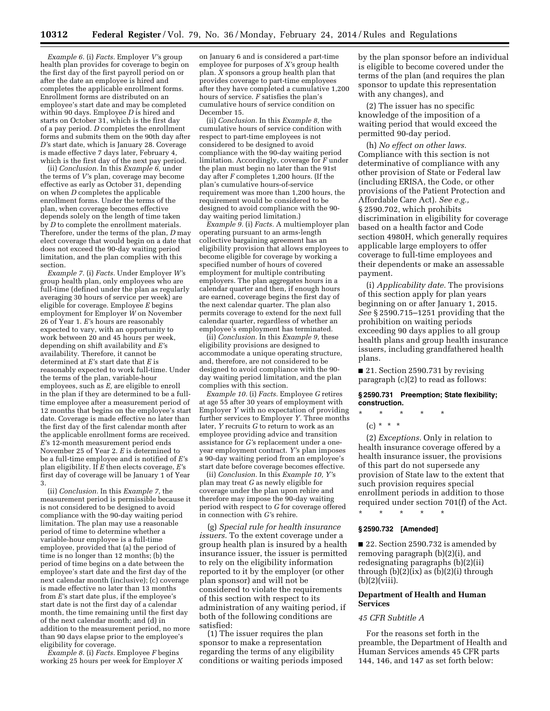*Example 6.* (i) *Facts.* Employer *V'*s group health plan provides for coverage to begin on the first day of the first payroll period on or after the date an employee is hired and completes the applicable enrollment forms. Enrollment forms are distributed on an employee's start date and may be completed within 90 days. Employee *D* is hired and starts on October 31, which is the first day of a pay period. *D* completes the enrollment forms and submits them on the 90th day after *D'*s start date, which is January 28. Coverage is made effective 7 days later, February 4, which is the first day of the next pay period.

(ii) *Conclusion.* In this *Example 6,* under the terms of *V'*s plan, coverage may become effective as early as October 31, depending on when *D* completes the applicable enrollment forms. Under the terms of the plan, when coverage becomes effective depends solely on the length of time taken by *D* to complete the enrollment materials. Therefore, under the terms of the plan, *D* may elect coverage that would begin on a date that does not exceed the 90-day waiting period limitation, and the plan complies with this section.

*Example 7.* (i) *Facts.* Under Employer *W'*s group health plan, only employees who are full-time (defined under the plan as regularly averaging 30 hours of service per week) are eligible for coverage. Employee *E* begins employment for Employer *W* on November 26 of Year 1. *E'*s hours are reasonably expected to vary, with an opportunity to work between 20 and 45 hours per week, depending on shift availability and *E'*s availability. Therefore, it cannot be determined at *E'*s start date that *E* is reasonably expected to work full-time. Under the terms of the plan, variable-hour employees, such as *E,* are eligible to enroll in the plan if they are determined to be a fulltime employee after a measurement period of 12 months that begins on the employee's start date. Coverage is made effective no later than the first day of the first calendar month after the applicable enrollment forms are received. *E'*s 12-month measurement period ends November 25 of Year 2. *E* is determined to be a full-time employee and is notified of *E'*s plan eligibility. If *E* then elects coverage, *E'*s first day of coverage will be January 1 of Year 3.

(ii) *Conclusion.* In this *Example 7,* the measurement period is permissible because it is not considered to be designed to avoid compliance with the 90-day waiting period limitation. The plan may use a reasonable period of time to determine whether a variable-hour employee is a full-time employee, provided that (a) the period of time is no longer than 12 months; (b) the period of time begins on a date between the employee's start date and the first day of the next calendar month (inclusive); (c) coverage is made effective no later than 13 months from *E'*s start date plus, if the employee's start date is not the first day of a calendar month, the time remaining until the first day of the next calendar month; and (d) in addition to the measurement period, no more than 90 days elapse prior to the employee's eligibility for coverage.

*Example 8.* (i) *Facts.* Employee *F* begins working 25 hours per week for Employer *X* 

on January 6 and is considered a part-time employee for purposes of *X'*s group health plan. *X* sponsors a group health plan that provides coverage to part-time employees after they have completed a cumulative 1,200 hours of service. *F* satisfies the plan's cumulative hours of service condition on December 15.

(ii) *Conclusion.* In this *Example 8,* the cumulative hours of service condition with respect to part-time employees is not considered to be designed to avoid compliance with the 90-day waiting period limitation. Accordingly, coverage for *F* under the plan must begin no later than the 91st day after *F* completes 1,200 hours. (If the plan's cumulative hours-of-service requirement was more than 1,200 hours, the requirement would be considered to be designed to avoid compliance with the 90 day waiting period limitation.)

*Example 9.* (i) *Facts.* A multiemployer plan operating pursuant to an arms-length collective bargaining agreement has an eligibility provision that allows employees to become eligible for coverage by working a specified number of hours of covered employment for multiple contributing employers. The plan aggregates hours in a calendar quarter and then, if enough hours are earned, coverage begins the first day of the next calendar quarter. The plan also permits coverage to extend for the next full calendar quarter, regardless of whether an employee's employment has terminated.

(ii) *Conclusion.* In this *Example 9,* these eligibility provisions are designed to accommodate a unique operating structure, and, therefore, are not considered to be designed to avoid compliance with the 90 day waiting period limitation, and the plan complies with this section.

*Example 10.* (i) *Facts.* Employee *G* retires at age 55 after 30 years of employment with Employer *Y* with no expectation of providing further services to Employer *Y.* Three months later, *Y* recruits *G* to return to work as an employee providing advice and transition assistance for *G'*s replacement under a oneyear employment contract. *Y'*s plan imposes a 90-day waiting period from an employee's start date before coverage becomes effective.

(ii) *Conclusion.* In this *Example 10, Y'*s plan may treat *G* as newly eligible for coverage under the plan upon rehire and therefore may impose the 90-day waiting period with respect to *G* for coverage offered in connection with *G'*s rehire.

(g) *Special rule for health insurance issuers.* To the extent coverage under a group health plan is insured by a health insurance issuer, the issuer is permitted to rely on the eligibility information reported to it by the employer (or other plan sponsor) and will not be considered to violate the requirements of this section with respect to its administration of any waiting period, if both of the following conditions are satisfied:

(1) The issuer requires the plan sponsor to make a representation regarding the terms of any eligibility conditions or waiting periods imposed by the plan sponsor before an individual is eligible to become covered under the terms of the plan (and requires the plan sponsor to update this representation with any changes), and

(2) The issuer has no specific knowledge of the imposition of a waiting period that would exceed the permitted 90-day period.

(h) *No effect on other laws.*  Compliance with this section is not determinative of compliance with any other provision of State or Federal law (including ERISA, the Code, or other provisions of the Patient Protection and Affordable Care Act). *See e.g.,*  § 2590.702, which prohibits discrimination in eligibility for coverage based on a health factor and Code section 4980H, which generally requires applicable large employers to offer coverage to full-time employees and their dependents or make an assessable payment.

(i) *Applicability date.* The provisions of this section apply for plan years beginning on or after January 1, 2015. *See* § 2590.715–1251 providing that the prohibition on waiting periods exceeding 90 days applies to all group health plans and group health insurance issuers, including grandfathered health plans.

■ 21. Section 2590.731 by revising paragraph (c)(2) to read as follows:

#### **§ 2590.731 Preemption; State flexibility; construction.**

\* \* \* \* \*

 $(c) * * * *$ 

(2) *Exceptions.* Only in relation to health insurance coverage offered by a health insurance issuer, the provisions of this part do not supersede any provision of State law to the extent that such provision requires special enrollment periods in addition to those required under section 701(f) of the Act. \* \* \* \* \*

#### **§ 2590.732 [Amended]**

■ 22. Section 2590.732 is amended by removing paragraph (b)(2)(i), and redesignating paragraphs (b)(2)(ii) through  $(b)(2)(ix)$  as  $(b)(2)(i)$  through  $(b)(2)(viii)$ .

#### **Department of Health and Human Services**

#### *45 CFR Subtitle A*

For the reasons set forth in the preamble, the Department of Health and Human Services amends 45 CFR parts 144, 146, and 147 as set forth below: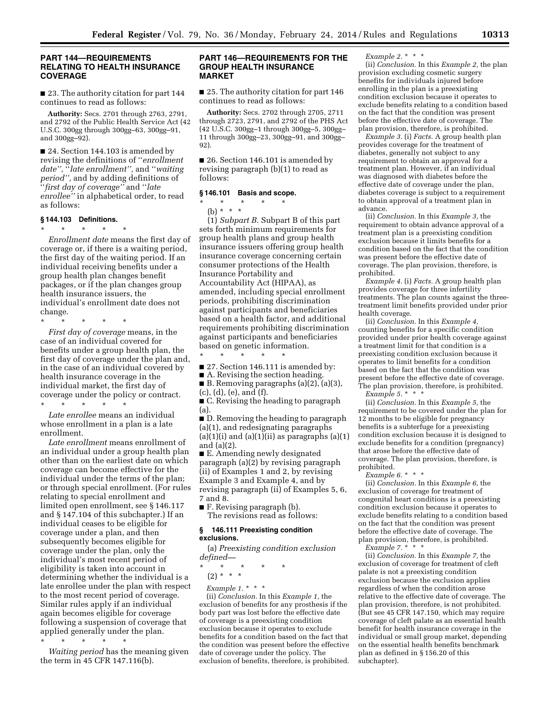#### **PART 144—REQUIREMENTS RELATING TO HEALTH INSURANCE COVERAGE**

■ 23. The authority citation for part 144 continues to read as follows:

**Authority:** Secs. 2701 through 2763, 2791, and 2792 of the Public Health Service Act (42 U.S.C. 300gg through 300gg–63, 300gg–91, and 300gg–92).

■ 24. Section 144.103 is amended by revising the definitions of ''*enrollment date'',* ''*late enrollment'',* and ''*waiting period'',* and by adding definitions of ''*first day of coverage''* and ''*late enrollee''* in alphabetical order, to read as follows:

#### **§ 144.103 Definitions.**

\* \* \* \* \*

*Enrollment date* means the first day of coverage or, if there is a waiting period, the first day of the waiting period. If an individual receiving benefits under a group health plan changes benefit packages, or if the plan changes group health insurance issuers, the individual's enrollment date does not change.

\* \* \* \* \*

*First day of coverage* means, in the case of an individual covered for benefits under a group health plan, the first day of coverage under the plan and, in the case of an individual covered by health insurance coverage in the individual market, the first day of coverage under the policy or contract.

\* \* \* \* \* *Late enrollee* means an individual whose enrollment in a plan is a late enrollment.

*Late enrollment* means enrollment of an individual under a group health plan other than on the earliest date on which coverage can become effective for the individual under the terms of the plan; or through special enrollment. (For rules relating to special enrollment and limited open enrollment, see § 146.117 and § 147.104 of this subchapter.) If an individual ceases to be eligible for coverage under a plan, and then subsequently becomes eligible for coverage under the plan, only the individual's most recent period of eligibility is taken into account in determining whether the individual is a late enrollee under the plan with respect to the most recent period of coverage. Similar rules apply if an individual again becomes eligible for coverage following a suspension of coverage that applied generally under the plan.

\* \* \* \* \* *Waiting period* has the meaning given the term in 45 CFR 147.116(b).

#### **PART 146—REQUIREMENTS FOR THE GROUP HEALTH INSURANCE MARKET**

■ 25. The authority citation for part 146 continues to read as follows:

**Authority:** Secs. 2702 through 2705, 2711 through 2723, 2791, and 2792 of the PHS Act (42 U.S.C. 300gg–1 through 300gg–5, 300gg– 11 through 300gg–23, 300gg–91, and 300gg– 92).

■ 26. Section 146.101 is amended by revising paragraph (b)(1) to read as follows:

### **§ 146.101 Basis and scope.**

\* \* \* \* \*

(b) \* \* \* (1) *Subpart B.* Subpart B of this part sets forth minimum requirements for group health plans and group health insurance issuers offering group health insurance coverage concerning certain consumer protections of the Health Insurance Portability and Accountability Act (HIPAA), as amended, including special enrollment periods, prohibiting discrimination against participants and beneficiaries based on a health factor, and additional requirements prohibiting discrimination against participants and beneficiaries based on genetic information.

\* \* \* \* \*

■ 27. Section 146.111 is amended by:

■ A. Revising the section heading. ■ B. Removing paragraphs (a)(2), (a)(3), (c), (d), (e), and (f).

■ C. Revising the heading to paragraph (a).

■ D. Removing the heading to paragraph (a)(1), and redesignating paragraphs  $(a)(1)(i)$  and  $(a)(1)(ii)$  as paragraphs  $(a)(1)$ and (a)(2).

■ E. Amending newly designated paragraph (a)(2) by revising paragraph (ii) of Examples 1 and 2, by revising Example 3 and Example 4, and by revising paragraph (ii) of Examples 5, 6, 7 and 8.

■ F. Revising paragraph (b). The revisions read as follows:

#### **§ 146.111 Preexisting condition exclusions.**

(a) *Preexisting condition exclusion defined—* 

\* \* \* \* \*

(2) \* \* \*

*Example 1.* \* \* \*

(ii) *Conclusion.* In this *Example 1,* the exclusion of benefits for any prosthesis if the body part was lost before the effective date of coverage is a preexisting condition exclusion because it operates to exclude benefits for a condition based on the fact that the condition was present before the effective date of coverage under the policy. The exclusion of benefits, therefore, is prohibited.

#### *Example 2.* \* \* \*

(ii) *Conclusion.* In this *Example 2,* the plan provision excluding cosmetic surgery benefits for individuals injured before enrolling in the plan is a preexisting condition exclusion because it operates to exclude benefits relating to a condition based on the fact that the condition was present before the effective date of coverage. The plan provision, therefore, is prohibited.

*Example 3.* (i) *Facts.* A group health plan provides coverage for the treatment of diabetes, generally not subject to any requirement to obtain an approval for a treatment plan. However, if an individual was diagnosed with diabetes before the effective date of coverage under the plan, diabetes coverage is subject to a requirement to obtain approval of a treatment plan in advance.

(ii) *Conclusion.* In this *Example 3,* the requirement to obtain advance approval of a treatment plan is a preexisting condition exclusion because it limits benefits for a condition based on the fact that the condition was present before the effective date of coverage. The plan provision, therefore, is prohibited.

*Example 4.* (i) *Facts.* A group health plan provides coverage for three infertility treatments. The plan counts against the threetreatment limit benefits provided under prior health coverage.

(ii) *Conclusion.* In this *Example 4,*  counting benefits for a specific condition provided under prior health coverage against a treatment limit for that condition is a preexisting condition exclusion because it operates to limit benefits for a condition based on the fact that the condition was present before the effective date of coverage. The plan provision, therefore, is prohibited. *Example 5.* \* \* \*

(ii) *Conclusion.* In this *Example 5,* the requirement to be covered under the plan for 12 months to be eligible for pregnancy benefits is a subterfuge for a preexisting condition exclusion because it is designed to exclude benefits for a condition (pregnancy) that arose before the effective date of coverage. The plan provision, therefore, is prohibited.

*Example 6.* \* \* \*

(ii) *Conclusion.* In this *Example 6,* the exclusion of coverage for treatment of congenital heart conditions is a preexisting condition exclusion because it operates to exclude benefits relating to a condition based on the fact that the condition was present before the effective date of coverage. The plan provision, therefore, is prohibited.

*Example 7.* \* \* \*

(ii) *Conclusion.* In this *Example 7,* the exclusion of coverage for treatment of cleft palate is not a preexisting condition exclusion because the exclusion applies regardless of when the condition arose relative to the effective date of coverage. The plan provision, therefore, is not prohibited. (But see 45 CFR 147.150, which may require coverage of cleft palate as an essential health benefit for health insurance coverage in the individual or small group market, depending on the essential health benefits benchmark plan as defined in § 156.20 of this subchapter).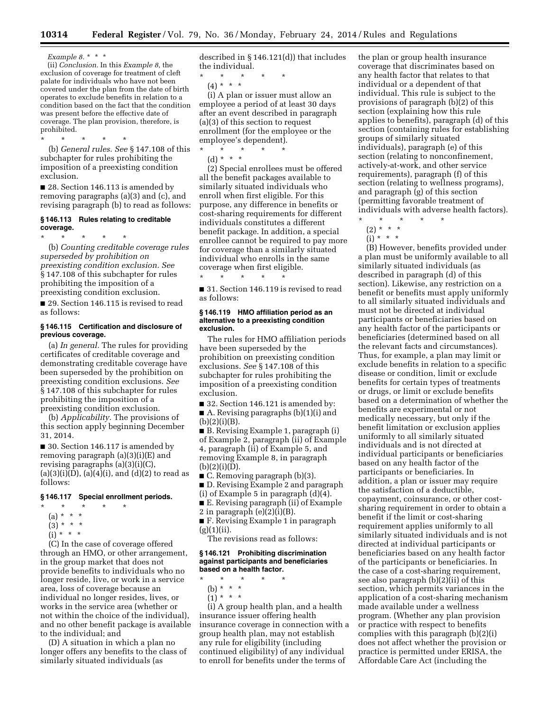*Example 8.* \* \* \*

(ii) *Conclusion.* In this *Example 8,* the exclusion of coverage for treatment of cleft palate for individuals who have not been covered under the plan from the date of birth operates to exclude benefits in relation to a condition based on the fact that the condition was present before the effective date of coverage. The plan provision, therefore, is prohibited.

\* \* \* \* \* (b) *General rules. See* § 147.108 of this subchapter for rules prohibiting the imposition of a preexisting condition exclusion.

■ 28. Section 146.113 is amended by removing paragraphs (a)(3) and (c), and revising paragraph (b) to read as follows:

#### **§ 146.113 Rules relating to creditable coverage.**

\* \* \* \* \* (b) *Counting creditable coverage rules superseded by prohibition on preexisting condition exclusion. See*  § 147.108 of this subchapter for rules prohibiting the imposition of a preexisting condition exclusion.

■ 29. Section 146.115 is revised to read as follows:

#### **§ 146.115 Certification and disclosure of previous coverage.**

(a) *In general.* The rules for providing certificates of creditable coverage and demonstrating creditable coverage have been superseded by the prohibition on preexisting condition exclusions. *See*  § 147.108 of this subchapter for rules prohibiting the imposition of a preexisting condition exclusion.

(b) *Applicability.* The provisions of this section apply beginning December 31, 2014.

■ 30. Section 146.117 is amended by removing paragraph (a)(3)(i)(E) and revising paragraphs (a)(3)(i)(C),  $(a)(3)(i)(D), (a)(4)(i), and (d)(2)$  to read as follows:

#### **§ 146.117 Special enrollment periods.**

- \* \* \* \* \*
- $(a) * * * *$
- $(3) * * * *$
- $(i) * * * *$

(C) In the case of coverage offered through an HMO, or other arrangement, in the group market that does not provide benefits to individuals who no longer reside, live, or work in a service area, loss of coverage because an individual no longer resides, lives, or works in the service area (whether or not within the choice of the individual), and no other benefit package is available to the individual; and

(D) A situation in which a plan no longer offers any benefits to the class of similarly situated individuals (as

described in § 146.121(d)) that includes the individual.

\* \* \* \* \* (4) \* \* \*

(i) A plan or issuer must allow an employee a period of at least 30 days after an event described in paragraph (a)(3) of this section to request enrollment (for the employee or the employee's dependent).

\* \* \* \* \* (d) \* \* \*

(2) Special enrollees must be offered all the benefit packages available to similarly situated individuals who enroll when first eligible. For this purpose, any difference in benefits or cost-sharing requirements for different individuals constitutes a different benefit package. In addition, a special enrollee cannot be required to pay more for coverage than a similarly situated individual who enrolls in the same coverage when first eligible.

■ 31. Section 146.119 is revised to read as follows:

\* \* \* \* \*

#### **§ 146.119 HMO affiliation period as an alternative to a preexisting condition exclusion.**

The rules for HMO affiliation periods have been superseded by the prohibition on preexisting condition exclusions. *See* § 147.108 of this subchapter for rules prohibiting the imposition of a preexisting condition exclusion.

■ 32. Section 146.121 is amended by: ■ A. Revising paragraphs (b)(1)(i) and  $(b)(2)(i)(B).$ 

■ B. Revising Example 1, paragraph (i) of Example 2, paragraph (ii) of Example 4, paragraph (ii) of Example 5, and removing Example 8, in paragraph  $(b)(2)(i)(D)$ .

■ C. Removing paragraph (b)(3).

- D. Revising Example 2 and paragraph (i) of Example 5 in paragraph (d)(4).
- E. Revising paragraph (ii) of Example

2 in paragraph  $(e)(2)(i)(B)$ .

■ F. Revising Example 1 in paragraph (g)(1)(ii).

The revisions read as follows:

#### **§ 146.121 Prohibiting discrimination against participants and beneficiaries based on a health factor.**

- \* \* \* \* \* (b) \* \* \*
- $(1) * * * *$

(i) A group health plan, and a health insurance issuer offering health insurance coverage in connection with a group health plan, may not establish any rule for eligibility (including continued eligibility) of any individual to enroll for benefits under the terms of

the plan or group health insurance coverage that discriminates based on any health factor that relates to that individual or a dependent of that individual. This rule is subject to the provisions of paragraph (b)(2) of this section (explaining how this rule applies to benefits), paragraph (d) of this section (containing rules for establishing groups of similarly situated individuals), paragraph (e) of this section (relating to nonconfinement, actively-at-work, and other service requirements), paragraph (f) of this section (relating to wellness programs), and paragraph (g) of this section (permitting favorable treatment of individuals with adverse health factors).

- \* \* \* \* \*  $(2) * * * *$
- $(i) * * * *$
- (B) However, benefits provided under a plan must be uniformly available to all similarly situated individuals (as described in paragraph (d) of this section). Likewise, any restriction on a benefit or benefits must apply uniformly to all similarly situated individuals and must not be directed at individual participants or beneficiaries based on any health factor of the participants or beneficiaries (determined based on all the relevant facts and circumstances). Thus, for example, a plan may limit or exclude benefits in relation to a specific disease or condition, limit or exclude benefits for certain types of treatments or drugs, or limit or exclude benefits based on a determination of whether the benefits are experimental or not medically necessary, but only if the benefit limitation or exclusion applies uniformly to all similarly situated individuals and is not directed at individual participants or beneficiaries based on any health factor of the participants or beneficiaries. In addition, a plan or issuer may require the satisfaction of a deductible, copayment, coinsurance, or other costsharing requirement in order to obtain a benefit if the limit or cost-sharing requirement applies uniformly to all similarly situated individuals and is not directed at individual participants or beneficiaries based on any health factor of the participants or beneficiaries. In the case of a cost-sharing requirement, see also paragraph (b)(2)(ii) of this section, which permits variances in the application of a cost-sharing mechanism made available under a wellness program. (Whether any plan provision or practice with respect to benefits complies with this paragraph (b)(2)(i) does not affect whether the provision or practice is permitted under ERISA, the Affordable Care Act (including the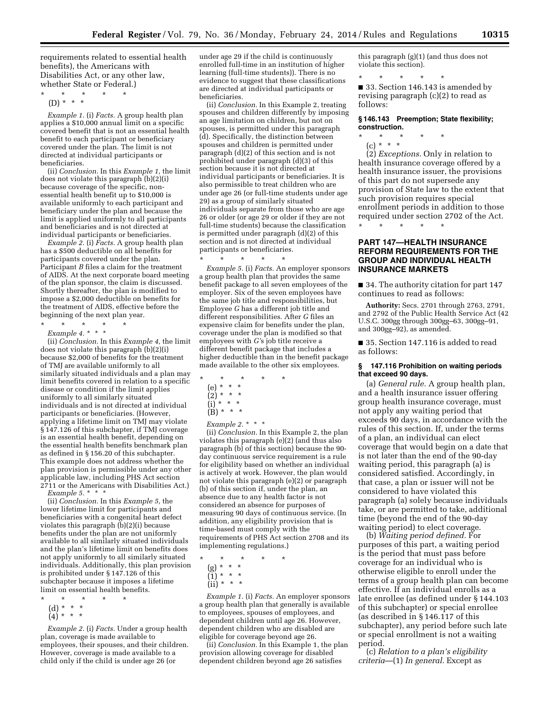requirements related to essential health benefits), the Americans with Disabilities Act, or any other law, whether State or Federal.)

\* \* \* \* \* (D) \* \* \*

*Example 1.* (i) *Facts.* A group health plan applies a \$10,000 annual limit on a specific covered benefit that is not an essential health benefit to each participant or beneficiary covered under the plan. The limit is not directed at individual participants or beneficiaries.

(ii) *Conclusion.* In this *Example 1,* the limit does not violate this paragraph (b)(2)(i) because coverage of the specific, nonessential health benefit up to \$10,000 is available uniformly to each participant and beneficiary under the plan and because the limit is applied uniformly to all participants and beneficiaries and is not directed at individual participants or beneficiaries.

*Example 2.* (i) *Facts.* A group health plan has a \$500 deductible on all benefits for participants covered under the plan. Participant *B* files a claim for the treatment of AIDS. At the next corporate board meeting of the plan sponsor, the claim is discussed. Shortly thereafter, the plan is modified to impose a \$2,000 deductible on benefits for the treatment of AIDS, effective before the beginning of the next plan year.

\* \* \* \* \*

*Example 4.* \* \* \* (ii) *Conclusion.* In this *Example 4,* the limit does not violate this paragraph (b)(2)(i) because \$2,000 of benefits for the treatment of TMJ are available uniformly to all similarly situated individuals and a plan may limit benefits covered in relation to a specific disease or condition if the limit applies uniformly to all similarly situated individuals and is not directed at individual participants or beneficiaries. (However, applying a lifetime limit on TMJ may violate §147.126 of this subchapter, if TMJ coverage is an essential health benefit, depending on the essential health benefits benchmark plan as defined in § 156.20 of this subchapter. This example does not address whether the plan provision is permissible under any other applicable law, including PHS Act section 2711 or the Americans with Disabilities Act.)

*Example 5.* \* \* \*

(ii) *Conclusion.* In this *Example 5,* the lower lifetime limit for participants and beneficiaries with a congenital heart defect violates this paragraph (b)(2)(i) because benefits under the plan are not uniformly available to all similarly situated individuals and the plan's lifetime limit on benefits does not apply uniformly to all similarly situated individuals. Additionally, this plan provision is prohibited under § 147.126 of this subchapter because it imposes a lifetime limit on essential health benefits.

- \* \* \* \* \*
	- (d) \* \* \*
	- (4) \* \* \*

*Example 2.* (i) *Facts.* Under a group health plan, coverage is made available to employees, their spouses, and their children. However, coverage is made available to a child only if the child is under age 26 (or

under age 29 if the child is continuously enrolled full-time in an institution of higher learning (full-time students)). There is no evidence to suggest that these classifications are directed at individual participants or beneficiaries.

(ii) *Conclusion.* In this Example 2, treating spouses and children differently by imposing an age limitation on children, but not on spouses, is permitted under this paragraph (d). Specifically, the distinction between spouses and children is permitted under paragraph (d)(2) of this section and is not prohibited under paragraph (d)(3) of this section because it is not directed at individual participants or beneficiaries. It is also permissible to treat children who are under age 26 (or full-time students under age 29) as a group of similarly situated individuals separate from those who are age 26 or older (or age 29 or older if they are not full-time students) because the classification is permitted under paragraph (d)(2) of this section and is not directed at individual participants or beneficiaries.

\* \* \* \* \*

*Example 5.* (i) *Facts.* An employer sponsors a group health plan that provides the same benefit package to all seven employees of the employer. Six of the seven employees have the same job title and responsibilities, but Employee *G* has a different job title and different responsibilities. After *G* files an expensive claim for benefits under the plan, coverage under the plan is modified so that employees with *G'*s job title receive a different benefit package that includes a higher deductible than in the benefit package made available to the other six employees.

- \* \* \* \* \*
	- (e) \* \* \*
	- (2) \* \* \*
	- (i) \* \* \*  $(B) * * * *$
	- *Example 2.* \* \* \*

(ii) *Conclusion.* In this Example 2, the plan violates this paragraph (e)(2) (and thus also paragraph (b) of this section) because the 90 day continuous service requirement is a rule for eligibility based on whether an individual is actively at work. However, the plan would not violate this paragraph (e)(2) or paragraph (b) of this section if, under the plan, an absence due to any health factor is not considered an absence for purposes of measuring 90 days of continuous service. (In addition, any eligibility provision that is time-based must comply with the requirements of PHS Act section 2708 and its implementing regulations.)

- \* \* \* \* \*
	- (g) \* \* \*

(1) \* \* \*

 $(ii) * * * *$ 

*Example 1.* (i) *Facts.* An employer sponsors a group health plan that generally is available to employees, spouses of employees, and dependent children until age 26. However, dependent children who are disabled are eligible for coverage beyond age 26.

(ii) *Conclusion.* In this Example 1, the plan provision allowing coverage for disabled dependent children beyond age 26 satisfies

this paragraph (g)(1) (and thus does not violate this section).

\* \* \* \* \* ■ 33. Section 146.143 is amended by revising paragraph (c)(2) to read as follows:

#### **§ 146.143 Preemption; State flexibility; construction.**

\* \* \* \* \* (c) \* \* \*

(2) *Exceptions.* Only in relation to health insurance coverage offered by a health insurance issuer, the provisions of this part do not supersede any provision of State law to the extent that such provision requires special enrollment periods in addition to those required under section 2702 of the Act.

\* \* \* \* \*

#### **PART 147—HEALTH INSURANCE REFORM REQUIREMENTS FOR THE GROUP AND INDIVIDUAL HEALTH INSURANCE MARKETS**

■ 34. The authority citation for part 147 continues to read as follows:

**Authority:** Secs. 2701 through 2763, 2791, and 2792 of the Public Health Service Act (42 U.S.C. 300gg through 300gg–63, 300gg–91, and 300gg–92), as amended.

■ 35. Section 147.116 is added to read as follows:

#### **§ 147.116 Prohibition on waiting periods that exceed 90 days.**

(a) *General rule.* A group health plan, and a health insurance issuer offering group health insurance coverage, must not apply any waiting period that exceeds 90 days, in accordance with the rules of this section. If, under the terms of a plan, an individual can elect coverage that would begin on a date that is not later than the end of the 90-day waiting period, this paragraph (a) is considered satisfied. Accordingly, in that case, a plan or issuer will not be considered to have violated this paragraph (a) solely because individuals take, or are permitted to take, additional time (beyond the end of the 90-day waiting period) to elect coverage.

(b) *Waiting period defined.* For purposes of this part, a waiting period is the period that must pass before coverage for an individual who is otherwise eligible to enroll under the terms of a group health plan can become effective. If an individual enrolls as a late enrollee (as defined under § 144.103 of this subchapter) or special enrollee (as described in § 146.117 of this subchapter), any period before such late or special enrollment is not a waiting period.

(c) *Relation to a plan's eligibility criteria*—(1) *In general.* Except as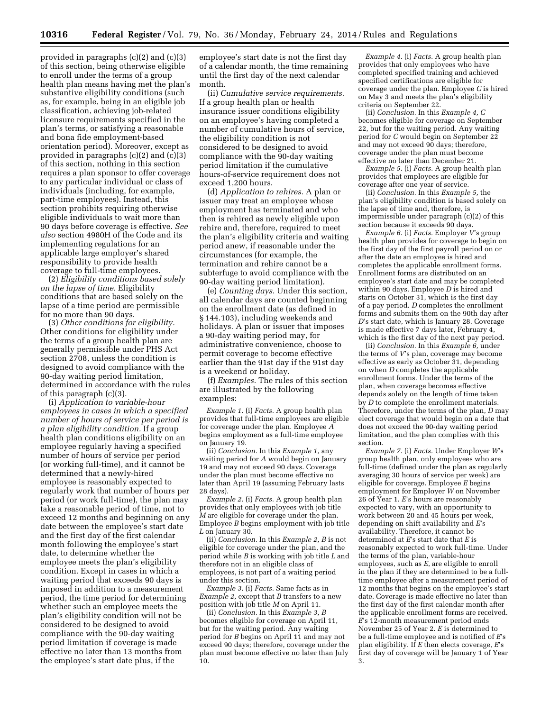provided in paragraphs (c)(2) and (c)(3) of this section, being otherwise eligible to enroll under the terms of a group health plan means having met the plan's substantive eligibility conditions (such as, for example, being in an eligible job classification, achieving job-related licensure requirements specified in the plan's terms, or satisfying a reasonable and bona fide employment-based orientation period). Moreover, except as provided in paragraphs (c)(2) and (c)(3) of this section, nothing in this section requires a plan sponsor to offer coverage to any particular individual or class of individuals (including, for example, part-time employees). Instead, this section prohibits requiring otherwise eligible individuals to wait more than 90 days before coverage is effective. *See also* section 4980H of the Code and its implementing regulations for an applicable large employer's shared responsibility to provide health coverage to full-time employees.

(2) *Eligibility conditions based solely on the lapse of time.* Eligibility conditions that are based solely on the lapse of a time period are permissible for no more than 90 days.

(3) *Other conditions for eligibility.*  Other conditions for eligibility under the terms of a group health plan are generally permissible under PHS Act section 2708, unless the condition is designed to avoid compliance with the 90-day waiting period limitation, determined in accordance with the rules of this paragraph (c)(3).

(i) *Application to variable-hour employees in cases in which a specified number of hours of service per period is a plan eligibility condition.* If a group health plan conditions eligibility on an employee regularly having a specified number of hours of service per period (or working full-time), and it cannot be determined that a newly-hired employee is reasonably expected to regularly work that number of hours per period (or work full-time), the plan may take a reasonable period of time, not to exceed 12 months and beginning on any date between the employee's start date and the first day of the first calendar month following the employee's start date, to determine whether the employee meets the plan's eligibility condition. Except in cases in which a waiting period that exceeds 90 days is imposed in addition to a measurement period, the time period for determining whether such an employee meets the plan's eligibility condition will not be considered to be designed to avoid compliance with the 90-day waiting period limitation if coverage is made effective no later than 13 months from the employee's start date plus, if the

employee's start date is not the first day of a calendar month, the time remaining until the first day of the next calendar month.

(ii) *Cumulative service requirements.*  If a group health plan or health insurance issuer conditions eligibility on an employee's having completed a number of cumulative hours of service, the eligibility condition is not considered to be designed to avoid compliance with the 90-day waiting period limitation if the cumulative hours-of-service requirement does not exceed 1,200 hours.

(d) *Application to rehires.* A plan or issuer may treat an employee whose employment has terminated and who then is rehired as newly eligible upon rehire and, therefore, required to meet the plan's eligibility criteria and waiting period anew, if reasonable under the circumstances (for example, the termination and rehire cannot be a subterfuge to avoid compliance with the 90-day waiting period limitation).

(e) *Counting days.* Under this section, all calendar days are counted beginning on the enrollment date (as defined in § 144.103), including weekends and holidays. A plan or issuer that imposes a 90-day waiting period may, for administrative convenience, choose to permit coverage to become effective earlier than the 91st day if the 91st day is a weekend or holiday.

(f) *Examples.* The rules of this section are illustrated by the following examples:

*Example 1.* (i) *Facts.* A group health plan provides that full-time employees are eligible for coverage under the plan. Employee *A*  begins employment as a full-time employee on January 19.

(ii) *Conclusion.* In this *Example 1,* any waiting period for *A* would begin on January 19 and may not exceed 90 days. Coverage under the plan must become effective no later than April 19 (assuming February lasts 28 days).

*Example 2.* (i) *Facts.* A group health plan provides that only employees with job title *M* are eligible for coverage under the plan. Employee *B* begins employment with job title *L* on January 30.

(ii) *Conclusion.* In this *Example 2, B* is not eligible for coverage under the plan, and the period while *B* is working with job title *L* and therefore not in an eligible class of employees, is not part of a waiting period under this section.

*Example 3.* (i) *Facts.* Same facts as in *Example 2,* except that *B* transfers to a new position with job title *M* on April 11.

(ii) *Conclusion.* In this *Example 3, B*  becomes eligible for coverage on April 11, but for the waiting period. Any waiting period for *B* begins on April 11 and may not exceed 90 days; therefore, coverage under the plan must become effective no later than July  $10.$ 

*Example 4.* (i) *Facts.* A group health plan provides that only employees who have completed specified training and achieved specified certifications are eligible for coverage under the plan. Employee *C* is hired on May 3 and meets the plan's eligibility criteria on September 22.

(ii) *Conclusion.* In this *Example 4, C*  becomes eligible for coverage on September 22, but for the waiting period. Any waiting period for *C* would begin on September 22 and may not exceed 90 days; therefore, coverage under the plan must become effective no later than December 21.

*Example 5.* (i) *Facts.* A group health plan provides that employees are eligible for coverage after one year of service.

(ii) *Conclusion.* In this *Example 5,* the plan's eligibility condition is based solely on the lapse of time and, therefore, is impermissible under paragraph (c)(2) of this section because it exceeds 90 days.

*Example 6.* (i) *Facts.* Employer *V*'s group health plan provides for coverage to begin on the first day of the first payroll period on or after the date an employee is hired and completes the applicable enrollment forms. Enrollment forms are distributed on an employee's start date and may be completed within 90 days. Employee *D* is hired and starts on October 31, which is the first day of a pay period. *D* completes the enrollment forms and submits them on the 90th day after *D*'s start date, which is January 28. Coverage is made effective 7 days later, February 4, which is the first day of the next pay period.

(ii) *Conclusion.* In this *Example 6,* under the terms of *V*'s plan, coverage may become effective as early as October 31, depending on when *D* completes the applicable enrollment forms. Under the terms of the plan, when coverage becomes effective depends solely on the length of time taken by *D* to complete the enrollment materials. Therefore, under the terms of the plan, *D* may elect coverage that would begin on a date that does not exceed the 90-day waiting period limitation, and the plan complies with this section.

*Example 7.* (i) *Facts.* Under Employer *W*'s group health plan, only employees who are full-time (defined under the plan as regularly averaging 30 hours of service per week) are eligible for coverage. Employee *E* begins employment for Employer *W* on November 26 of Year 1. *E*'s hours are reasonably expected to vary, with an opportunity to work between 20 and 45 hours per week, depending on shift availability and *E*'s availability. Therefore, it cannot be determined at *E*'s start date that *E* is reasonably expected to work full-time. Under the terms of the plan, variable-hour employees, such as *E*, are eligible to enroll in the plan if they are determined to be a fulltime employee after a measurement period of 12 months that begins on the employee's start date. Coverage is made effective no later than the first day of the first calendar month after the applicable enrollment forms are received. *E*'s 12-month measurement period ends November 25 of Year 2. *E* is determined to be a full-time employee and is notified of *E*'s plan eligibility. If *E* then elects coverage, *E*'s first day of coverage will be January 1 of Year 3.